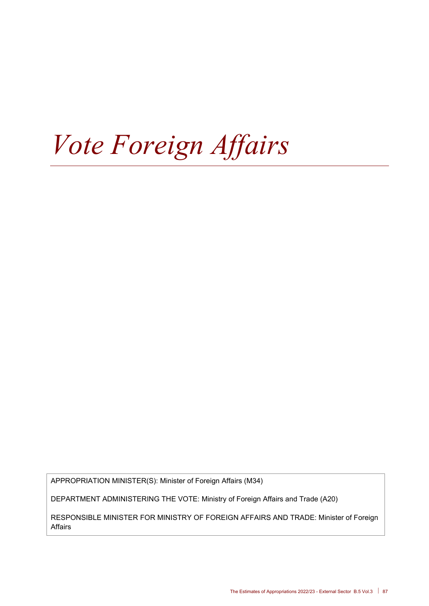# *Vote Foreign Affairs*

APPROPRIATION MINISTER(S): Minister of Foreign Affairs (M34)

DEPARTMENT ADMINISTERING THE VOTE: Ministry of Foreign Affairs and Trade (A20)

RESPONSIBLE MINISTER FOR MINISTRY OF FOREIGN AFFAIRS AND TRADE: Minister of Foreign Affairs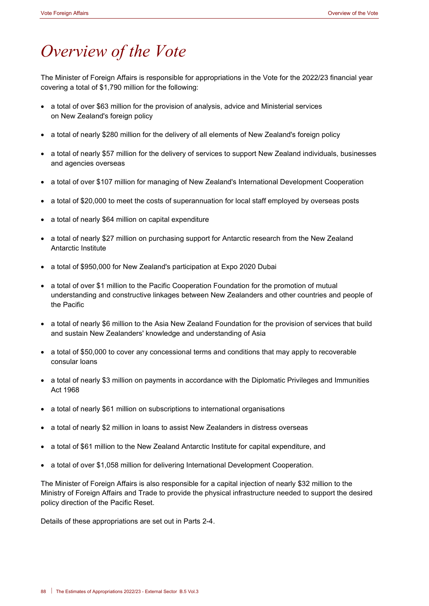# *Overview of the Vote*

The Minister of Foreign Affairs is responsible for appropriations in the Vote for the 2022/23 financial year covering a total of \$1,790 million for the following:

- a total of over \$63 million for the provision of analysis, advice and Ministerial services on New Zealand's foreign policy
- a total of nearly \$280 million for the delivery of all elements of New Zealand's foreign policy
- a total of nearly \$57 million for the delivery of services to support New Zealand individuals, businesses and agencies overseas
- a total of over \$107 million for managing of New Zealand's International Development Cooperation
- a total of \$20,000 to meet the costs of superannuation for local staff employed by overseas posts
- a total of nearly \$64 million on capital expenditure
- a total of nearly \$27 million on purchasing support for Antarctic research from the New Zealand Antarctic Institute
- a total of \$950,000 for New Zealand's participation at Expo 2020 Dubai
- a total of over \$1 million to the Pacific Cooperation Foundation for the promotion of mutual understanding and constructive linkages between New Zealanders and other countries and people of the Pacific
- a total of nearly \$6 million to the Asia New Zealand Foundation for the provision of services that build and sustain New Zealanders' knowledge and understanding of Asia
- a total of \$50,000 to cover any concessional terms and conditions that may apply to recoverable consular loans
- a total of nearly \$3 million on payments in accordance with the Diplomatic Privileges and Immunities Act 1968
- a total of nearly \$61 million on subscriptions to international organisations
- a total of nearly \$2 million in loans to assist New Zealanders in distress overseas
- a total of \$61 million to the New Zealand Antarctic Institute for capital expenditure, and
- a total of over \$1,058 million for delivering International Development Cooperation.

The Minister of Foreign Affairs is also responsible for a capital injection of nearly \$32 million to the Ministry of Foreign Affairs and Trade to provide the physical infrastructure needed to support the desired policy direction of the Pacific Reset.

Details of these appropriations are set out in Parts 2-4.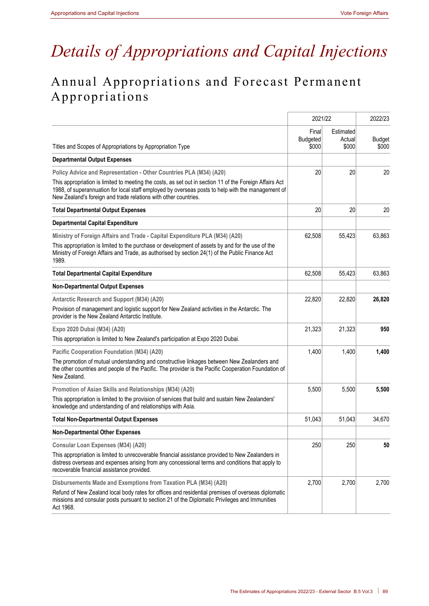# *Details of Appropriations and Capital Injections*

# Annual Appropriations and Forecast Permanent Appropriations

|                                                                                                                                                                                                                                                                                                                                                       | 2021/22                           | 2022/23                      |                        |
|-------------------------------------------------------------------------------------------------------------------------------------------------------------------------------------------------------------------------------------------------------------------------------------------------------------------------------------------------------|-----------------------------------|------------------------------|------------------------|
| Titles and Scopes of Appropriations by Appropriation Type                                                                                                                                                                                                                                                                                             | Final<br><b>Budgeted</b><br>\$000 | Estimated<br>Actual<br>\$000 | <b>Budget</b><br>\$000 |
| <b>Departmental Output Expenses</b>                                                                                                                                                                                                                                                                                                                   |                                   |                              |                        |
| Policy Advice and Representation - Other Countries PLA (M34) (A20)<br>This appropriation is limited to meeting the costs, as set out in section 11 of the Foreign Affairs Act<br>1988, of superannuation for local staff employed by overseas posts to help with the management of<br>New Zealand's foreign and trade relations with other countries. | 20                                | 20                           | 20                     |
| <b>Total Departmental Output Expenses</b>                                                                                                                                                                                                                                                                                                             | 20                                | 20                           | 20                     |
| <b>Departmental Capital Expenditure</b>                                                                                                                                                                                                                                                                                                               |                                   |                              |                        |
| Ministry of Foreign Affairs and Trade - Capital Expenditure PLA (M34) (A20)<br>This appropriation is limited to the purchase or development of assets by and for the use of the<br>Ministry of Foreign Affairs and Trade, as authorised by section 24(1) of the Public Finance Act<br>1989.                                                           | 62,508                            | 55,423                       | 63,863                 |
| <b>Total Departmental Capital Expenditure</b>                                                                                                                                                                                                                                                                                                         | 62,508                            | 55,423                       | 63,863                 |
| <b>Non-Departmental Output Expenses</b>                                                                                                                                                                                                                                                                                                               |                                   |                              |                        |
| Antarctic Research and Support (M34) (A20)<br>Provision of management and logistic support for New Zealand activities in the Antarctic. The<br>provider is the New Zealand Antarctic Institute.                                                                                                                                                       | 22,820                            | 22,820                       | 26,820                 |
| Expo 2020 Dubai (M34) (A20)                                                                                                                                                                                                                                                                                                                           | 21,323                            | 21,323                       | 950                    |
| This appropriation is limited to New Zealand's participation at Expo 2020 Dubai.                                                                                                                                                                                                                                                                      |                                   |                              |                        |
| Pacific Cooperation Foundation (M34) (A20)<br>The promotion of mutual understanding and constructive linkages between New Zealanders and<br>the other countries and people of the Pacific. The provider is the Pacific Cooperation Foundation of<br>New Zealand.                                                                                      | 1,400                             | 1,400                        | 1,400                  |
| Promotion of Asian Skills and Relationships (M34) (A20)                                                                                                                                                                                                                                                                                               | 5,500                             | 5,500                        | 5,500                  |
| This appropriation is limited to the provision of services that build and sustain New Zealanders'<br>knowledge and understanding of and relationships with Asia.                                                                                                                                                                                      |                                   |                              |                        |
| <b>Total Non-Departmental Output Expenses</b>                                                                                                                                                                                                                                                                                                         | 51,043                            | 51,043                       | 34,670                 |
| <b>Non-Departmental Other Expenses</b>                                                                                                                                                                                                                                                                                                                |                                   |                              |                        |
| Consular Loan Expenses (M34) (A20)                                                                                                                                                                                                                                                                                                                    | 250                               | 250                          | 50                     |
| This appropriation is limited to unrecoverable financial assistance provided to New Zealanders in<br>distress overseas and expenses arising from any concessional terms and conditions that apply to<br>recoverable financial assistance provided.                                                                                                    |                                   |                              |                        |
| Disbursements Made and Exemptions from Taxation PLA (M34) (A20)                                                                                                                                                                                                                                                                                       | 2,700                             | 2,700                        | 2,700                  |
| Refund of New Zealand local body rates for offices and residential premises of overseas diplomatic<br>missions and consular posts pursuant to section 21 of the Diplomatic Privileges and Immunities<br>Act 1968.                                                                                                                                     |                                   |                              |                        |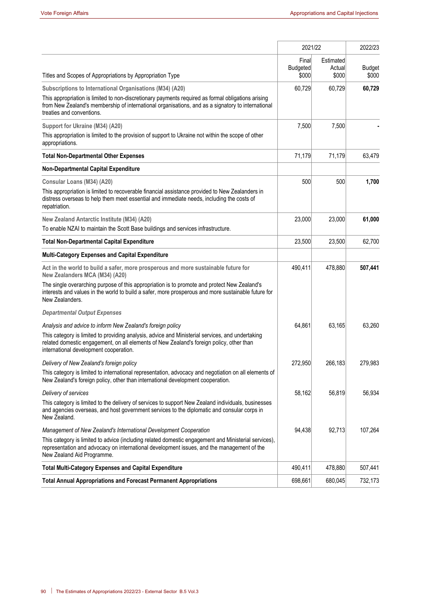|                                                                                                                                                                                                                                                                                                      |                                   | 2021/22                      |                        |  |
|------------------------------------------------------------------------------------------------------------------------------------------------------------------------------------------------------------------------------------------------------------------------------------------------------|-----------------------------------|------------------------------|------------------------|--|
| Titles and Scopes of Appropriations by Appropriation Type                                                                                                                                                                                                                                            | Final<br><b>Budgeted</b><br>\$000 | Estimated<br>Actual<br>\$000 | <b>Budget</b><br>\$000 |  |
| Subscriptions to International Organisations (M34) (A20)                                                                                                                                                                                                                                             | 60,729                            | 60,729                       | 60,729                 |  |
| This appropriation is limited to non-discretionary payments required as formal obligations arising<br>from New Zealand's membership of international organisations, and as a signatory to international<br>treaties and conventions.                                                                 |                                   |                              |                        |  |
| Support for Ukraine (M34) (A20)                                                                                                                                                                                                                                                                      | 7,500                             | 7,500                        |                        |  |
| This appropriation is limited to the provision of support to Ukraine not within the scope of other<br>appropriations.                                                                                                                                                                                |                                   |                              |                        |  |
| <b>Total Non-Departmental Other Expenses</b>                                                                                                                                                                                                                                                         | 71,179                            | 71,179                       | 63,479                 |  |
| Non-Departmental Capital Expenditure                                                                                                                                                                                                                                                                 |                                   |                              |                        |  |
| Consular Loans (M34) (A20)<br>This appropriation is limited to recoverable financial assistance provided to New Zealanders in<br>distress overseas to help them meet essential and immediate needs, including the costs of<br>repatriation.                                                          | 500                               | 500                          | 1,700                  |  |
|                                                                                                                                                                                                                                                                                                      |                                   |                              |                        |  |
| New Zealand Antarctic Institute (M34) (A20)<br>To enable NZAI to maintain the Scott Base buildings and services infrastructure.                                                                                                                                                                      | 23,000                            | 23,000                       | 61,000                 |  |
| <b>Total Non-Departmental Capital Expenditure</b>                                                                                                                                                                                                                                                    | 23,500                            | 23,500                       | 62,700                 |  |
| Multi-Category Expenses and Capital Expenditure                                                                                                                                                                                                                                                      |                                   |                              |                        |  |
| Act in the world to build a safer, more prosperous and more sustainable future for<br>New Zealanders MCA (M34) (A20)                                                                                                                                                                                 | 490,411                           | 478,880                      | 507,441                |  |
| The single overarching purpose of this appropriation is to promote and protect New Zealand's<br>interests and values in the world to build a safer, more prosperous and more sustainable future for<br>New Zealanders.                                                                               |                                   |                              |                        |  |
| <b>Departmental Output Expenses</b>                                                                                                                                                                                                                                                                  |                                   |                              |                        |  |
| Analysis and advice to inform New Zealand's foreign policy<br>This category is limited to providing analysis, advice and Ministerial services, and undertaking<br>related domestic engagement, on all elements of New Zealand's foreign policy, other than<br>international development cooperation. | 64,861                            | 63,165                       | 63,260                 |  |
| Delivery of New Zealand's foreign policy                                                                                                                                                                                                                                                             | 272,950                           | 266,183                      | 279,983                |  |
| This category is limited to international representation, advocacy and negotiation on all elements of<br>New Zealand's foreign policy, other than international development cooperation.                                                                                                             |                                   |                              |                        |  |
| Delivery of services                                                                                                                                                                                                                                                                                 | 58,162                            | 56,819                       | 56,934                 |  |
| This category is limited to the delivery of services to support New Zealand individuals, businesses<br>and agencies overseas, and host government services to the diplomatic and consular corps in<br>New Zealand.                                                                                   |                                   |                              |                        |  |
| Management of New Zealand's International Development Cooperation                                                                                                                                                                                                                                    | 94,438                            | 92,713                       | 107,264                |  |
| This category is limited to advice (including related domestic engagement and Ministerial services),<br>representation and advocacy on international development issues, and the management of the<br>New Zealand Aid Programme.                                                                     |                                   |                              |                        |  |
| <b>Total Multi-Category Expenses and Capital Expenditure</b>                                                                                                                                                                                                                                         | 490,411                           | 478,880                      | 507,441                |  |
| <b>Total Annual Appropriations and Forecast Permanent Appropriations</b>                                                                                                                                                                                                                             | 698,661                           | 680,045                      | 732,173                |  |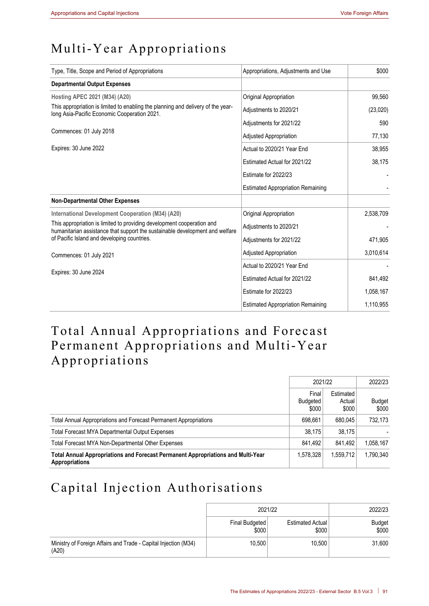# Multi-Year Appropriations

| Type, Title, Scope and Period of Appropriations                                                                                                        | Appropriations, Adjustments and Use      | \$000     |
|--------------------------------------------------------------------------------------------------------------------------------------------------------|------------------------------------------|-----------|
| <b>Departmental Output Expenses</b>                                                                                                                    |                                          |           |
| Hosting APEC 2021 (M34) (A20)                                                                                                                          | Original Appropriation                   | 99,560    |
| This appropriation is limited to enabling the planning and delivery of the year-<br>long Asia-Pacific Economic Cooperation 2021.                       | Adjustments to 2020/21                   | (23,020)  |
|                                                                                                                                                        | Adjustments for 2021/22                  | 590       |
| Commences: 01 July 2018                                                                                                                                | <b>Adjusted Appropriation</b>            | 77,130    |
| Expires: 30 June 2022                                                                                                                                  | Actual to 2020/21 Year End               | 38,955    |
|                                                                                                                                                        | Estimated Actual for 2021/22             | 38,175    |
|                                                                                                                                                        | Estimate for 2022/23                     |           |
|                                                                                                                                                        | <b>Estimated Appropriation Remaining</b> |           |
| <b>Non-Departmental Other Expenses</b>                                                                                                                 |                                          |           |
| International Development Cooperation (M34) (A20)                                                                                                      | Original Appropriation                   | 2,538,709 |
| This appropriation is limited to providing development cooperation and<br>humanitarian assistance that support the sustainable development and welfare | Adjustments to 2020/21                   |           |
| of Pacific Island and developing countries.                                                                                                            | Adjustments for 2021/22                  | 471,905   |
| Commences: 01 July 2021                                                                                                                                | Adjusted Appropriation                   | 3,010,614 |
|                                                                                                                                                        | Actual to 2020/21 Year End               |           |
| Expires: 30 June 2024                                                                                                                                  | Estimated Actual for 2021/22             | 841,492   |
|                                                                                                                                                        | Estimate for 2022/23                     | 1,058,167 |
|                                                                                                                                                        | <b>Estimated Appropriation Remaining</b> | 1,110,955 |

# Total Annual Appropriations and Forecast Permanent Appropriations and Multi-Year Appropriations

|                                                                                                           | 2021/22                    |                              | 2022/23         |
|-----------------------------------------------------------------------------------------------------------|----------------------------|------------------------------|-----------------|
|                                                                                                           | Final<br>Budgeted<br>\$000 | Estimated<br>Actual<br>\$000 | Budget<br>\$000 |
| Total Annual Appropriations and Forecast Permanent Appropriations                                         | 698.661                    | 680.045                      | 732,173         |
| Total Forecast MYA Departmental Output Expenses                                                           | 38.175                     | 38.175                       |                 |
| Total Forecast MYA Non-Departmental Other Expenses                                                        | 841.492                    | 841.492                      | 1,058,167       |
| Total Annual Appropriations and Forecast Permanent Appropriations and Multi-Year<br><b>Appropriations</b> | 1.578.328                  | 1.559.712                    | 1,790,340       |

# Capital Injection Authorisations

|                                                                          | 2021/22                 | 2022/23                          |                 |
|--------------------------------------------------------------------------|-------------------------|----------------------------------|-----------------|
|                                                                          | Final Budgeted<br>\$000 | <b>Estimated Actual</b><br>\$000 | Budget<br>\$000 |
| Ministry of Foreign Affairs and Trade - Capital Injection (M34)<br>(A20) | 10.500                  | 10.500                           | 31,600          |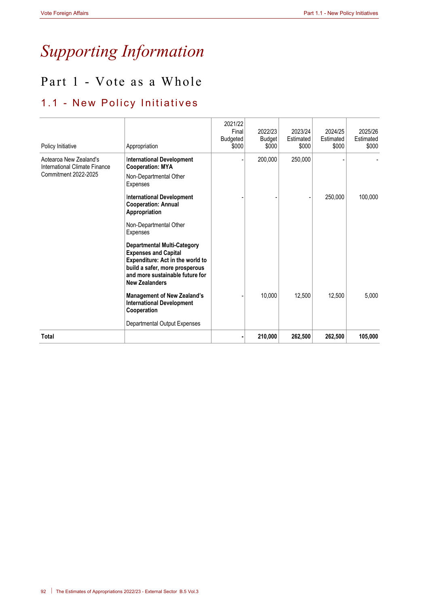# *Supporting Information*

# Part 1 - Vote as a Whole

# 1.1 - New Policy Initiatives

| Policy Initiative                                                               | Appropriation                                                                                                                                                                                       | 2021/22<br>Final<br>Budgeted<br>\$000 | 2022/23<br><b>Budget</b><br>\$000 | 2023/24<br>Estimated<br>\$000 | 2024/25<br>Estimated<br>\$000 | 2025/26<br>Estimated<br>\$000 |
|---------------------------------------------------------------------------------|-----------------------------------------------------------------------------------------------------------------------------------------------------------------------------------------------------|---------------------------------------|-----------------------------------|-------------------------------|-------------------------------|-------------------------------|
| Aotearoa New Zealand's<br>International Climate Finance<br>Commitment 2022-2025 | <b>International Development</b><br><b>Cooperation: MYA</b><br>Non-Departmental Other<br>Expenses                                                                                                   |                                       | 200,000                           | 250,000                       |                               |                               |
|                                                                                 | <b>International Development</b><br><b>Cooperation: Annual</b><br>Appropriation                                                                                                                     |                                       |                                   |                               | 250,000                       | 100,000                       |
|                                                                                 | Non-Departmental Other<br>Expenses                                                                                                                                                                  |                                       |                                   |                               |                               |                               |
|                                                                                 | <b>Departmental Multi-Category</b><br><b>Expenses and Capital</b><br>Expenditure: Act in the world to<br>build a safer, more prosperous<br>and more sustainable future for<br><b>New Zealanders</b> |                                       |                                   |                               |                               |                               |
|                                                                                 | <b>Management of New Zealand's</b><br><b>International Development</b><br>Cooperation                                                                                                               |                                       | 10,000                            | 12,500                        | 12,500                        | 5.000                         |
|                                                                                 | Departmental Output Expenses                                                                                                                                                                        |                                       |                                   |                               |                               |                               |
| <b>Total</b>                                                                    |                                                                                                                                                                                                     |                                       | 210,000                           | 262,500                       | 262,500                       | 105,000                       |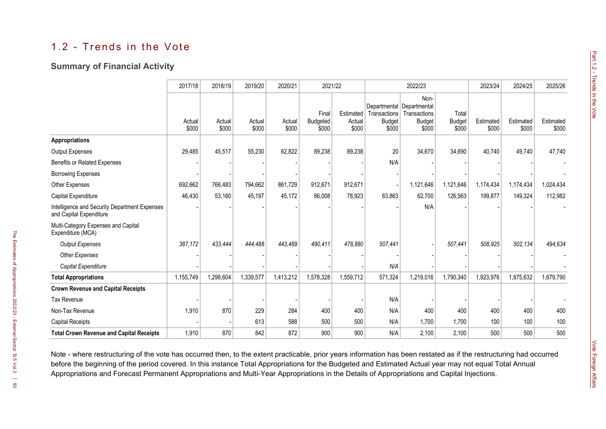# 1.2 - Trends in the Vote

# **Summary of Financial Activity**

|                                                                          | 2017/18         | 2018/19         | 2019/20         | 2020/21         | 2021/22                           |                              |                                                                     | 2022/23                                        |                                 | 2023/24            | 2024/25            | 2025/26            |
|--------------------------------------------------------------------------|-----------------|-----------------|-----------------|-----------------|-----------------------------------|------------------------------|---------------------------------------------------------------------|------------------------------------------------|---------------------------------|--------------------|--------------------|--------------------|
|                                                                          | Actual<br>\$000 | Actual<br>\$000 | Actual<br>\$000 | Actual<br>\$000 | Final<br><b>Budgeted</b><br>\$000 | Estimated<br>Actual<br>\$000 | Departmental Departmental<br>Transactions<br><b>Budget</b><br>\$000 | Non-<br>Transactions<br><b>Budget</b><br>\$000 | Total<br><b>Budget</b><br>\$000 | Estimated<br>\$000 | Estimated<br>\$000 | Estimated<br>\$000 |
| <b>Appropriations</b>                                                    |                 |                 |                 |                 |                                   |                              |                                                                     |                                                |                                 |                    |                    |                    |
| <b>Output Expenses</b>                                                   | 29,485          | 45,517          | 55,230          | 62,822          | 89,238                            | 89,238                       | 20                                                                  | 34,670                                         | 34,690                          | 40,740             | 49,740             | 47,740             |
| Benefits or Related Expenses                                             |                 |                 |                 |                 |                                   |                              | N/A                                                                 |                                                |                                 |                    |                    |                    |
| <b>Borrowing Expenses</b>                                                |                 |                 |                 |                 |                                   |                              |                                                                     |                                                |                                 |                    |                    |                    |
| <b>Other Expenses</b>                                                    | 692,662         | 766,483         | 794,662         | 861,729         | 912,671                           | 912,671                      |                                                                     | 1,121,646                                      | 1,121,646                       | 1,174,434          | 1,174,434          | 1,024,434          |
| Capital Expenditure                                                      | 46,430          | 53,160          | 45,197          | 45,172          | 86,008                            | 78,923                       | 63,863                                                              | 62,700                                         | 126,563                         | 199,877            | 149,324            | 112,982            |
| Intelligence and Security Department Expenses<br>and Capital Expenditure |                 |                 |                 |                 |                                   |                              |                                                                     | N/A                                            |                                 |                    |                    |                    |
| Multi-Category Expenses and Capital<br>Expenditure (MCA)                 |                 |                 |                 |                 |                                   |                              |                                                                     |                                                |                                 |                    |                    |                    |
| <b>Output Expenses</b>                                                   | 387,172         | 433,444         | 444,488         | 443,489         | 490,411                           | 478,880                      | 507,441                                                             |                                                | 507,441                         | 508,925            | 502,134            | 494,634            |
| <b>Other Expenses</b>                                                    |                 |                 |                 |                 |                                   |                              |                                                                     |                                                |                                 |                    |                    |                    |
| Capital Expenditure                                                      |                 |                 |                 |                 |                                   |                              | N/A                                                                 |                                                |                                 |                    |                    |                    |
| <b>Total Appropriations</b>                                              | 1,155,749       | 1,298,604       | 1,339,577       | 1,413,212       | 1,578,328                         | 1,559,712                    | 571,324                                                             | 1,219,016                                      | 1,790,340                       | 1,923,976          | 1,875,632          | 1,679,790          |
| <b>Crown Revenue and Capital Receipts</b>                                |                 |                 |                 |                 |                                   |                              |                                                                     |                                                |                                 |                    |                    |                    |
| <b>Tax Revenue</b>                                                       |                 |                 |                 |                 |                                   |                              | N/A                                                                 |                                                |                                 |                    |                    |                    |
| Non-Tax Revenue                                                          | 1,910           | 870             | 229             | 284             | 400                               | 400                          | N/A                                                                 | 400                                            | 400                             | 400                | 400                | 400                |
| <b>Capital Receipts</b>                                                  |                 |                 | 613             | 588             | 500                               | 500                          | N/A                                                                 | 1,700                                          | 1,700                           | 100                | 100                | 100                |
| <b>Total Crown Revenue and Capital Receipts</b>                          | 1,910           | 870             | 842             | 872             | 900                               | 900                          | N/A                                                                 | 2,100                                          | 2,100                           | 500                | 500                | 500                |

Note - where restructuring of the vote has occurred then, to the extent practicable, prior years information has been restated as if the restructuring had occurred before the beginning of the period covered. In this instance Total Appropriations for the Budgeted and Estimated Actual year may not equal Total Annual Appropriations and Forecast Permanent Appropriations and Multi-Year Appropriations in the Details of Appropriations and Capital Injections.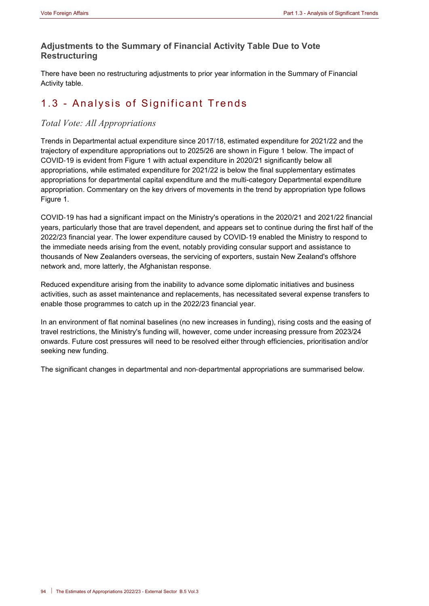# **Adjustments to the Summary of Financial Activity Table Due to Vote Restructuring**

There have been no restructuring adjustments to prior year information in the Summary of Financial Activity table.

# 1.3 - Analysis of Significant Trends

# *Total Vote: All Appropriations*

Trends in Departmental actual expenditure since 2017/18, estimated expenditure for 2021/22 and the trajectory of expenditure appropriations out to 2025/26 are shown in Figure 1 below. The impact of COVID‑19 is evident from Figure 1 with actual expenditure in 2020/21 significantly below all appropriations, while estimated expenditure for 2021/22 is below the final supplementary estimates appropriations for departmental capital expenditure and the multi-category Departmental expenditure appropriation. Commentary on the key drivers of movements in the trend by appropriation type follows Figure 1.

COVID‑19 has had a significant impact on the Ministry's operations in the 2020/21 and 2021/22 financial years, particularly those that are travel dependent, and appears set to continue during the first half of the 2022/23 financial year. The lower expenditure caused by COVID‑19 enabled the Ministry to respond to the immediate needs arising from the event, notably providing consular support and assistance to thousands of New Zealanders overseas, the servicing of exporters, sustain New Zealand's offshore network and, more latterly, the Afghanistan response.

Reduced expenditure arising from the inability to advance some diplomatic initiatives and business activities, such as asset maintenance and replacements, has necessitated several expense transfers to enable those programmes to catch up in the 2022/23 financial year.

In an environment of flat nominal baselines (no new increases in funding), rising costs and the easing of travel restrictions, the Ministry's funding will, however, come under increasing pressure from 2023/24 onwards. Future cost pressures will need to be resolved either through efficiencies, prioritisation and/or seeking new funding.

The significant changes in departmental and non-departmental appropriations are summarised below.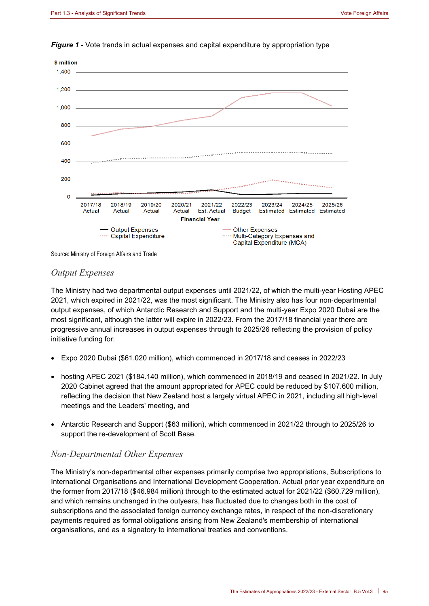

*Figure 1* - Vote trends in actual expenses and capital expenditure by appropriation type

Source: Ministry of Foreign Affairs and Trade

#### *Output Expenses*

The Ministry had two departmental output expenses until 2021/22, of which the multi-year Hosting APEC 2021, which expired in 2021/22, was the most significant. The Ministry also has four non‑departmental output expenses, of which Antarctic Research and Support and the multi-year Expo 2020 Dubai are the most significant, although the latter will expire in 2022/23. From the 2017/18 financial year there are progressive annual increases in output expenses through to 2025/26 reflecting the provision of policy initiative funding for:

- Expo 2020 Dubai (\$61.020 million), which commenced in 2017/18 and ceases in 2022/23
- hosting APEC 2021 (\$184.140 million), which commenced in 2018/19 and ceased in 2021/22. In July 2020 Cabinet agreed that the amount appropriated for APEC could be reduced by \$107.600 million, reflecting the decision that New Zealand host a largely virtual APEC in 2021, including all high-level meetings and the Leaders' meeting, and
- Antarctic Research and Support (\$63 million), which commenced in 2021/22 through to 2025/26 to support the re-development of Scott Base.

## *Non‑Departmental Other Expenses*

The Ministry's non-departmental other expenses primarily comprise two appropriations, Subscriptions to International Organisations and International Development Cooperation. Actual prior year expenditure on the former from 2017/18 (\$46.984 million) through to the estimated actual for 2021/22 (\$60.729 million), and which remains unchanged in the outyears, has fluctuated due to changes both in the cost of subscriptions and the associated foreign currency exchange rates, in respect of the non-discretionary payments required as formal obligations arising from New Zealand's membership of international organisations, and as a signatory to international treaties and conventions.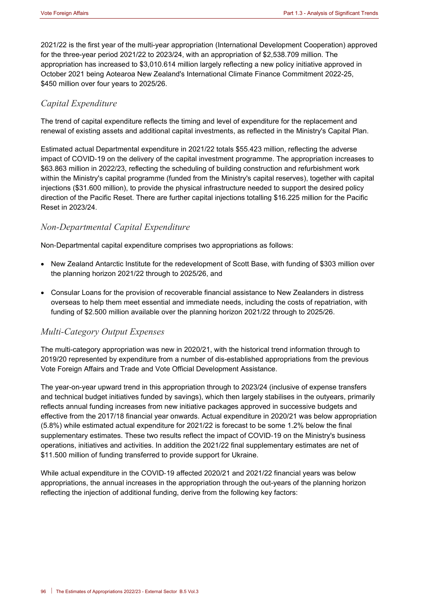2021/22 is the first year of the multi-year appropriation (International Development Cooperation) approved for the three-year period 2021/22 to 2023/24, with an appropriation of \$2,538.709 million. The appropriation has increased to \$3,010.614 million largely reflecting a new policy initiative approved in October 2021 being Aotearoa New Zealand's International Climate Finance Commitment 2022-25, \$450 million over four years to 2025/26.

## *Capital Expenditure*

The trend of capital expenditure reflects the timing and level of expenditure for the replacement and renewal of existing assets and additional capital investments, as reflected in the Ministry's Capital Plan.

Estimated actual Departmental expenditure in 2021/22 totals \$55.423 million, reflecting the adverse impact of COVID‑19 on the delivery of the capital investment programme. The appropriation increases to \$63.863 million in 2022/23, reflecting the scheduling of building construction and refurbishment work within the Ministry's capital programme (funded from the Ministry's capital reserves), together with capital injections (\$31.600 million), to provide the physical infrastructure needed to support the desired policy direction of the Pacific Reset. There are further capital injections totalling \$16.225 million for the Pacific Reset in 2023/24.

# *Non‑Departmental Capital Expenditure*

Non‑Departmental capital expenditure comprises two appropriations as follows:

- New Zealand Antarctic Institute for the redevelopment of Scott Base, with funding of \$303 million over the planning horizon 2021/22 through to 2025/26, and
- Consular Loans for the provision of recoverable financial assistance to New Zealanders in distress overseas to help them meet essential and immediate needs, including the costs of repatriation, with funding of \$2.500 million available over the planning horizon 2021/22 through to 2025/26.

## *Multi-Category Output Expenses*

The multi-category appropriation was new in 2020/21, with the historical trend information through to 2019/20 represented by expenditure from a number of dis-established appropriations from the previous Vote Foreign Affairs and Trade and Vote Official Development Assistance.

The year-on-year upward trend in this appropriation through to 2023/24 (inclusive of expense transfers and technical budget initiatives funded by savings), which then largely stabilises in the outyears, primarily reflects annual funding increases from new initiative packages approved in successive budgets and effective from the 2017/18 financial year onwards. Actual expenditure in 2020/21 was below appropriation (5.8%) while estimated actual expenditure for 2021/22 is forecast to be some 1.2% below the final supplementary estimates. These two results reflect the impact of COVID-19 on the Ministry's business operations, initiatives and activities. In addition the 2021/22 final supplementary estimates are net of \$11.500 million of funding transferred to provide support for Ukraine.

While actual expenditure in the COVID‑19 affected 2020/21 and 2021/22 financial years was below appropriations, the annual increases in the appropriation through the out-years of the planning horizon reflecting the injection of additional funding, derive from the following key factors: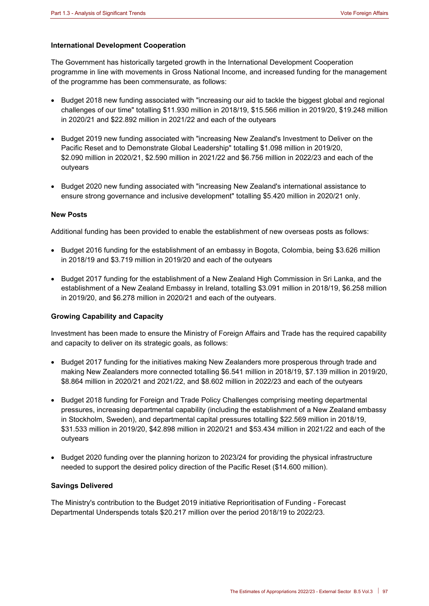#### **International Development Cooperation**

The Government has historically targeted growth in the International Development Cooperation programme in line with movements in Gross National Income, and increased funding for the management of the programme has been commensurate, as follows:

- Budget 2018 new funding associated with "increasing our aid to tackle the biggest global and regional challenges of our time" totalling \$11.930 million in 2018/19, \$15.566 million in 2019/20, \$19.248 million in 2020/21 and \$22.892 million in 2021/22 and each of the outyears
- Budget 2019 new funding associated with "increasing New Zealand's Investment to Deliver on the Pacific Reset and to Demonstrate Global Leadership" totalling \$1.098 million in 2019/20, \$2.090 million in 2020/21, \$2.590 million in 2021/22 and \$6.756 million in 2022/23 and each of the outyears
- Budget 2020 new funding associated with "increasing New Zealand's international assistance to ensure strong governance and inclusive development" totalling \$5.420 million in 2020/21 only.

#### **New Posts**

Additional funding has been provided to enable the establishment of new overseas posts as follows:

- Budget 2016 funding for the establishment of an embassy in Bogota, Colombia, being \$3.626 million in 2018/19 and \$3.719 million in 2019/20 and each of the outyears
- Budget 2017 funding for the establishment of a New Zealand High Commission in Sri Lanka, and the establishment of a New Zealand Embassy in Ireland, totalling \$3.091 million in 2018/19, \$6.258 million in 2019/20, and \$6.278 million in 2020/21 and each of the outyears.

#### **Growing Capability and Capacity**

Investment has been made to ensure the Ministry of Foreign Affairs and Trade has the required capability and capacity to deliver on its strategic goals, as follows:

- Budget 2017 funding for the initiatives making New Zealanders more prosperous through trade and making New Zealanders more connected totalling \$6.541 million in 2018/19, \$7.139 million in 2019/20, \$8.864 million in 2020/21 and 2021/22, and \$8.602 million in 2022/23 and each of the outyears
- Budget 2018 funding for Foreign and Trade Policy Challenges comprising meeting departmental pressures, increasing departmental capability (including the establishment of a New Zealand embassy in Stockholm, Sweden), and departmental capital pressures totalling \$22.569 million in 2018/19, \$31.533 million in 2019/20, \$42.898 million in 2020/21 and \$53.434 million in 2021/22 and each of the outyears
- Budget 2020 funding over the planning horizon to 2023/24 for providing the physical infrastructure needed to support the desired policy direction of the Pacific Reset (\$14.600 million).

#### **Savings Delivered**

The Ministry's contribution to the Budget 2019 initiative Reprioritisation of Funding - Forecast Departmental Underspends totals \$20.217 million over the period 2018/19 to 2022/23.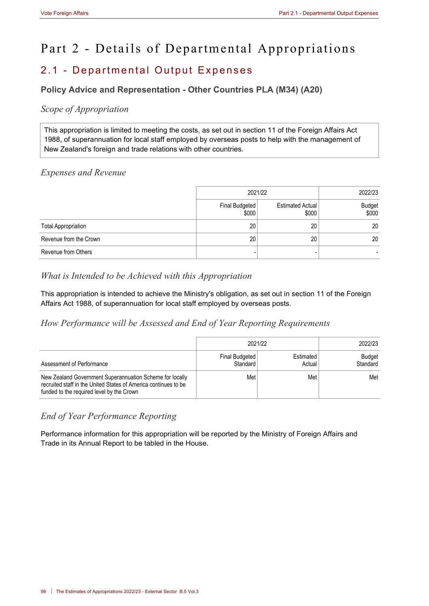# Part 2 - Details of Departmental Appropriations

# 2.1 - Departmental Output Expenses

# **Policy Advice and Representation - Other Countries PLA (M34) (A20)**

# *Scope of Appropriation*

This appropriation is limited to meeting the costs, as set out in section 11 of the Foreign Affairs Act 1988, of superannuation for local staff employed by overseas posts to help with the management of New Zealand's foreign and trade relations with other countries.

# *Expenses and Revenue*

|                            | 2021/22                 | 2022/23                          |                        |
|----------------------------|-------------------------|----------------------------------|------------------------|
|                            | Final Budgeted<br>\$000 | <b>Estimated Actual</b><br>\$000 | <b>Budget</b><br>\$000 |
| <b>Total Appropriation</b> | 20                      | 20                               | 20                     |
| Revenue from the Crown     | 20                      | 20                               | 20                     |
| Revenue from Others        |                         |                                  |                        |

# *What is Intended to be Achieved with this Appropriation*

This appropriation is intended to achieve the Ministry's obligation, as set out in section 11 of the Foreign Affairs Act 1988, of superannuation for local staff employed by overseas posts.

*How Performance will be Assessed and End of Year Reporting Requirements*

|                                                                                                                                                                          | 2021/22                    | 2022/23             |                    |
|--------------------------------------------------------------------------------------------------------------------------------------------------------------------------|----------------------------|---------------------|--------------------|
| Assessment of Performance                                                                                                                                                | Final Budgeted<br>Standard | Estimated<br>Actual | Budget<br>Standard |
| New Zealand Government Superannuation Scheme for locally<br>recruited staff in the United States of America continues to be<br>funded to the required level by the Crown | Met                        | Met                 | Met                |

# *End of Year Performance Reporting*

Performance information for this appropriation will be reported by the Ministry of Foreign Affairs and Trade in its Annual Report to be tabled in the House.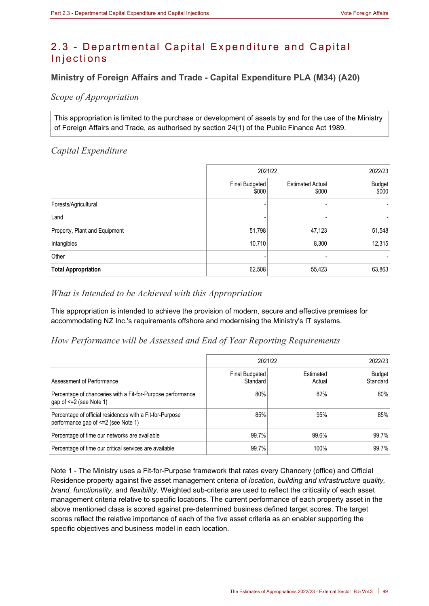# 2.3 - Departmental Capital Expenditure and Capital Injections

# **Ministry of Foreign Affairs and Trade - Capital Expenditure PLA (M34) (A20)**

*Scope of Appropriation*

This appropriation is limited to the purchase or development of assets by and for the use of the Ministry of Foreign Affairs and Trade, as authorised by section 24(1) of the Public Finance Act 1989.

## *Capital Expenditure*

|                               | 2021/22                 | 2022/23                          |                        |
|-------------------------------|-------------------------|----------------------------------|------------------------|
|                               | Final Budgeted<br>\$000 | <b>Estimated Actual</b><br>\$000 | <b>Budget</b><br>\$000 |
| Forests/Agricultural          |                         |                                  |                        |
| Land                          |                         |                                  |                        |
| Property, Plant and Equipment | 51,798                  | 47,123                           | 51,548                 |
| Intangibles                   | 10,710                  | 8,300                            | 12,315                 |
| Other                         |                         |                                  |                        |
| <b>Total Appropriation</b>    | 62,508                  | 55,423                           | 63,863                 |

# *What is Intended to be Achieved with this Appropriation*

This appropriation is intended to achieve the provision of modern, secure and effective premises for accommodating NZ Inc.'s requirements offshore and modernising the Ministry's IT systems.

# *How Performance will be Assessed and End of Year Reporting Requirements*

|                                                                                                  |                                   | 2021/22             |                           |  |  |  |
|--------------------------------------------------------------------------------------------------|-----------------------------------|---------------------|---------------------------|--|--|--|
| Assessment of Performance                                                                        | <b>Final Budgeted</b><br>Standard | Estimated<br>Actual | <b>Budget</b><br>Standard |  |  |  |
| Percentage of chanceries with a Fit-for-Purpose performance<br>gap of <= 2 (see Note 1)          | 80%                               | 82%                 | 80%                       |  |  |  |
| Percentage of official residences with a Fit-for-Purpose<br>performance gap of <= 2 (see Note 1) | 85%                               | 95%                 | 85%                       |  |  |  |
| Percentage of time our networks are available                                                    | 99.7%                             | 99.6%               | 99.7%                     |  |  |  |
| Percentage of time our critical services are available                                           | 99.7%                             | 100%                | 99.7%                     |  |  |  |

Note 1 - The Ministry uses a Fit-for-Purpose framework that rates every Chancery (office) and Official Residence property against five asset management criteria of *location, building and infrastructure quality, brand, functionality,* and *flexibility*. Weighted sub-criteria are used to reflect the criticality of each asset management criteria relative to specific locations. The current performance of each property asset in the above mentioned class is scored against pre-determined business defined target scores. The target scores reflect the relative importance of each of the five asset criteria as an enabler supporting the specific objectives and business model in each location.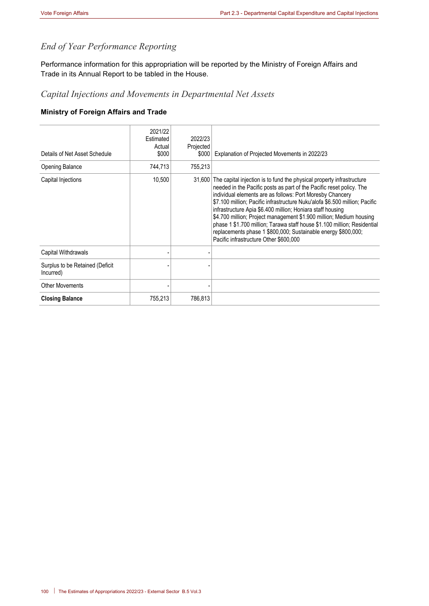# *End of Year Performance Reporting*

Performance information for this appropriation will be reported by the Ministry of Foreign Affairs and Trade in its Annual Report to be tabled in the House.

# *Capital Injections and Movements in Departmental Net Assets*

#### **Ministry of Foreign Affairs and Trade**

| Details of Net Asset Schedule<br>Opening Balance | 2021/22<br>Estimated<br>Actual<br>\$000<br>744,713 | 2022/23<br>Projected<br>\$000<br>755,213 | Explanation of Projected Movements in 2022/23                                                                                                                                                                                                                                                                                                                                                                                                                                                                                                                                                                                |
|--------------------------------------------------|----------------------------------------------------|------------------------------------------|------------------------------------------------------------------------------------------------------------------------------------------------------------------------------------------------------------------------------------------------------------------------------------------------------------------------------------------------------------------------------------------------------------------------------------------------------------------------------------------------------------------------------------------------------------------------------------------------------------------------------|
| Capital Injections                               | 10,500                                             |                                          | 31,600 The capital injection is to fund the physical property infrastructure<br>needed in the Pacific posts as part of the Pacific reset policy. The<br>individual elements are as follows: Port Moresby Chancery<br>\$7.100 million; Pacific infrastructure Nuku'alofa \$6.500 million; Pacific<br>infrastructure Apia \$6.400 million; Honiara staff housing<br>\$4.700 million; Project management \$1.900 million; Medium housing<br>phase 1 \$1.700 million; Tarawa staff house \$1.100 million; Residential<br>replacements phase 1 \$800,000; Sustainable energy \$800,000;<br>Pacific infrastructure Other \$600,000 |
| Capital Withdrawals                              |                                                    |                                          |                                                                                                                                                                                                                                                                                                                                                                                                                                                                                                                                                                                                                              |
| Surplus to be Retained (Deficit<br>Incurred)     |                                                    |                                          |                                                                                                                                                                                                                                                                                                                                                                                                                                                                                                                                                                                                                              |
| <b>Other Movements</b>                           |                                                    |                                          |                                                                                                                                                                                                                                                                                                                                                                                                                                                                                                                                                                                                                              |
| <b>Closing Balance</b>                           | 755,213                                            | 786,813                                  |                                                                                                                                                                                                                                                                                                                                                                                                                                                                                                                                                                                                                              |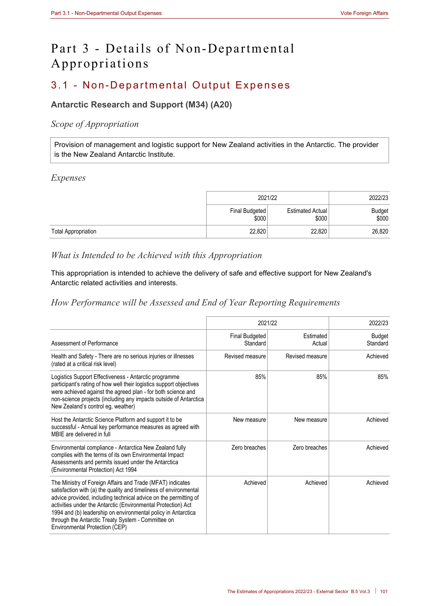# Part 3 - Details of Non-Departmental Appropriations

# 3.1 - Non-Departmental Output Expenses

# **Antarctic Research and Support (M34) (A20)**

# *Scope of Appropriation*

Provision of management and logistic support for New Zealand activities in the Antarctic. The provider is the New Zealand Antarctic Institute.

## *Expenses*

|                            | 2021/22                 |                           | 2022/23                |
|----------------------------|-------------------------|---------------------------|------------------------|
|                            | Final Budgeted<br>\$000 | Estimated Actual<br>\$000 | <b>Budget</b><br>\$000 |
| <b>Total Appropriation</b> | 22,820                  | 22,820                    | 26,820                 |

# *What is Intended to be Achieved with this Appropriation*

This appropriation is intended to achieve the delivery of safe and effective support for New Zealand's Antarctic related activities and interests.

# *How Performance will be Assessed and End of Year Reporting Requirements*

|                                                                                                                                                                                                                                                                                                                                                                                                                               |                                   | 2021/22             |                    |  |
|-------------------------------------------------------------------------------------------------------------------------------------------------------------------------------------------------------------------------------------------------------------------------------------------------------------------------------------------------------------------------------------------------------------------------------|-----------------------------------|---------------------|--------------------|--|
| Assessment of Performance                                                                                                                                                                                                                                                                                                                                                                                                     | <b>Final Budgeted</b><br>Standard | Estimated<br>Actual | Budget<br>Standard |  |
| Health and Safety - There are no serious injuries or illnesses<br>(rated at a critical risk level)                                                                                                                                                                                                                                                                                                                            | Revised measure                   | Revised measure     | Achieved           |  |
| Logistics Support Effectiveness - Antarctic programme<br>participant's rating of how well their logistics support objectives<br>were achieved against the agreed plan - for both science and<br>non-science projects (including any impacts outside of Antarctica<br>New Zealand's control eg, weather)                                                                                                                       | 85%                               | 85%                 | 85%                |  |
| Host the Antarctic Science Platform and support it to be<br>successful - Annual key performance measures as agreed with<br>MBIF are delivered in full                                                                                                                                                                                                                                                                         | New measure                       | New measure         | Achieved           |  |
| Environmental compliance - Antarctica New Zealand fully<br>complies with the terms of its own Environmental Impact<br>Assessments and permits issued under the Antarctica<br>(Environmental Protection) Act 1994                                                                                                                                                                                                              | Zero breaches                     | Zero breaches       | Achieved           |  |
| The Ministry of Foreign Affairs and Trade (MFAT) indicates<br>satisfaction with (a) the quality and timeliness of environmental<br>advice provided, including technical advice on the permitting of<br>activities under the Antarctic (Environmental Protection) Act<br>1994 and (b) leadership on environmental policy in Antarctica<br>through the Antarctic Treaty System - Committee on<br>Environmental Protection (CEP) | Achieved                          | Achieved            | Achieved           |  |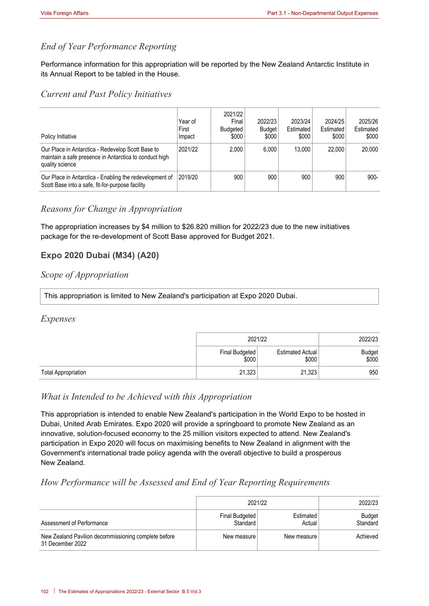# *End of Year Performance Reporting*

Performance information for this appropriation will be reported by the New Zealand Antarctic Institute in its Annual Report to be tabled in the House.

#### *Current and Past Policy Initiatives*

| Policy Initiative                                                                                                              | Year of<br>First<br>Impact | 2021/22<br>Final<br>Budgeted<br>\$000 | 2022/23<br><b>Budget</b><br>\$000 | 2023/24<br>Estimated<br>\$000 | 2024/25<br>Estimated<br>\$000 | 2025/26<br>Estimated<br>\$000 |
|--------------------------------------------------------------------------------------------------------------------------------|----------------------------|---------------------------------------|-----------------------------------|-------------------------------|-------------------------------|-------------------------------|
| Our Place in Antarctica - Redevelop Scott Base to<br>maintain a safe presence in Antarctica to conduct high<br>quality science | 2021/22                    | 2.000                                 | 6.000                             | 13.000                        | 22,000                        | 20,000                        |
| Our Place in Antarctica - Enabling the redevelopment of<br>Scott Base into a safe, fit-for-purpose facility                    | 2019/20                    | 900                                   | 900                               | 900                           | 900                           | $900 -$                       |

# *Reasons for Change in Appropriation*

The appropriation increases by \$4 million to \$26.820 million for 2022/23 due to the new initiatives package for the re-development of Scott Base approved for Budget 2021.

# **Expo 2020 Dubai (M34) (A20)**

# *Scope of Appropriation*

This appropriation is limited to New Zealand's participation at Expo 2020 Dubai.

#### *Expenses*

|                            | 2021/22                 |                           | 2022/23         |
|----------------------------|-------------------------|---------------------------|-----------------|
|                            | Final Budgeted<br>\$000 | Estimated Actual<br>\$000 | Budget<br>\$000 |
| <b>Total Appropriation</b> | 21,323                  | 21,323                    | 950             |

#### *What is Intended to be Achieved with this Appropriation*

This appropriation is intended to enable New Zealand's participation in the World Expo to be hosted in Dubai, United Arab Emirates. Expo 2020 will provide a springboard to promote New Zealand as an innovative, solution-focused economy to the 25 million visitors expected to attend. New Zealand's participation in Expo 2020 will focus on maximising benefits to New Zealand in alignment with the Government's international trade policy agenda with the overall objective to build a prosperous New Zealand.

## *How Performance will be Assessed and End of Year Reporting Requirements*

|                                                                          | 2021/22                    | 2022/23             |                    |
|--------------------------------------------------------------------------|----------------------------|---------------------|--------------------|
| Assessment of Performance                                                | Final Budgeted<br>Standard | Estimated<br>Actual | Budget<br>Standard |
| New Zealand Pavilion decommissioning complete before<br>31 December 2022 | New measure                | New measure         | Achieved           |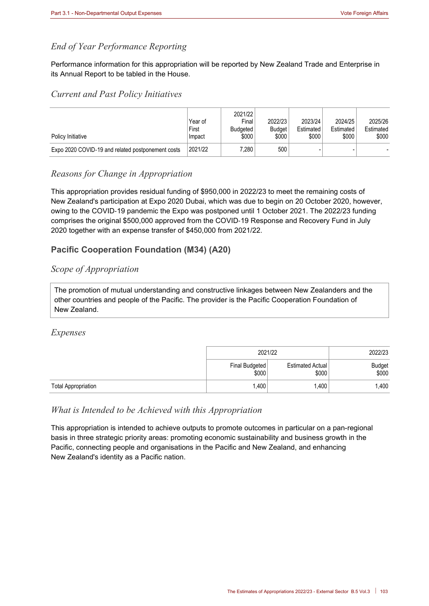# *End of Year Performance Reporting*

Performance information for this appropriation will be reported by New Zealand Trade and Enterprise in its Annual Report to be tabled in the House.

#### *Current and Past Policy Initiatives*

| Policy Initiative                                 | Year of<br>First<br>Impact | 2021/22<br>Final<br>Budgeted<br>\$000 | 2022/23<br><b>Budget</b><br>\$000 | 2023/24<br>Estimated<br>\$000 | 2024/25<br>Estimated<br>\$000 | 2025/26<br>Estimated<br>\$000 |
|---------------------------------------------------|----------------------------|---------------------------------------|-----------------------------------|-------------------------------|-------------------------------|-------------------------------|
| Expo 2020 COVID-19 and related postponement costs | 2021/22                    | 7.280⊺                                | 500                               |                               |                               |                               |

## *Reasons for Change in Appropriation*

This appropriation provides residual funding of \$950,000 in 2022/23 to meet the remaining costs of New Zealand's participation at Expo 2020 Dubai, which was due to begin on 20 October 2020, however, owing to the COVID-19 pandemic the Expo was postponed until 1 October 2021. The 2022/23 funding comprises the original \$500,000 approved from the COVID-19 Response and Recovery Fund in July 2020 together with an expense transfer of \$450,000 from 2021/22.

# **Pacific Cooperation Foundation (M34) (A20)**

# *Scope of Appropriation*

The promotion of mutual understanding and constructive linkages between New Zealanders and the other countries and people of the Pacific. The provider is the Pacific Cooperation Foundation of New Zealand.

## *Expenses*

|                            |                         | 2021/22                   |                        |  |
|----------------------------|-------------------------|---------------------------|------------------------|--|
|                            | Final Budgeted<br>\$000 | Estimated Actual<br>\$000 | <b>Budget</b><br>\$000 |  |
| <b>Total Appropriation</b> | 1,400                   | 1,400                     | 1,400                  |  |

## *What is Intended to be Achieved with this Appropriation*

This appropriation is intended to achieve outputs to promote outcomes in particular on a pan-regional basis in three strategic priority areas: promoting economic sustainability and business growth in the Pacific, connecting people and organisations in the Pacific and New Zealand, and enhancing New Zealand's identity as a Pacific nation.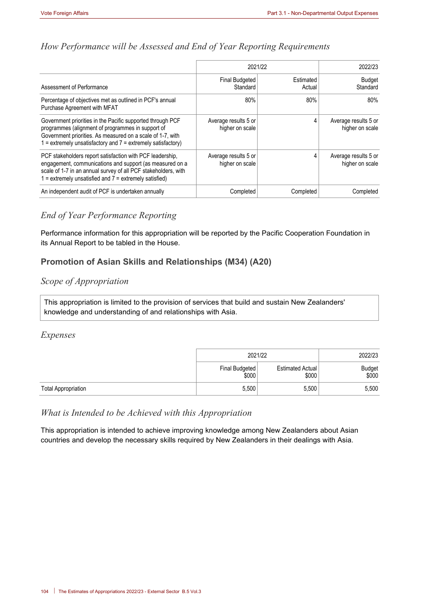# *How Performance will be Assessed and End of Year Reporting Requirements*

|                                                                                                                                                                                                                                                   | 2021/22                                 | 2022/23             |                                         |
|---------------------------------------------------------------------------------------------------------------------------------------------------------------------------------------------------------------------------------------------------|-----------------------------------------|---------------------|-----------------------------------------|
| Assessment of Performance                                                                                                                                                                                                                         | Final Budgeted<br>Standard              | Estimated<br>Actual | <b>Budget</b><br>Standard               |
| Percentage of objectives met as outlined in PCF's annual<br>Purchase Agreement with MFAT                                                                                                                                                          | 80%                                     | 80%                 | 80%                                     |
| Government priorities in the Pacific supported through PCF<br>programmes (alignment of programmes in support of<br>Government priorities. As measured on a scale of 1-7, with<br>$=$ extremely unsatisfactory and $7 =$ extremely satisfactory)   | Average results 5 or<br>higher on scale | 4                   | Average results 5 or<br>higher on scale |
| PCF stakeholders report satisfaction with PCF leadership.<br>engagement, communications and support (as measured on a<br>scale of 1-7 in an annual survey of all PCF stakeholders, with<br>1 = extremely unsatisfied and 7 = extremely satisfied) | Average results 5 or<br>higher on scale | 4                   | Average results 5 or<br>higher on scale |
| An independent audit of PCF is undertaken annually                                                                                                                                                                                                | Completed                               | Completed           | Completed                               |

# *End of Year Performance Reporting*

Performance information for this appropriation will be reported by the Pacific Cooperation Foundation in its Annual Report to be tabled in the House.

# **Promotion of Asian Skills and Relationships (M34) (A20)**

# *Scope of Appropriation*

This appropriation is limited to the provision of services that build and sustain New Zealanders' knowledge and understanding of and relationships with Asia.

## *Expenses*

|                            | 2021/22                 |                                  | 2022/23         |
|----------------------------|-------------------------|----------------------------------|-----------------|
|                            | Final Budgeted<br>\$000 | <b>Estimated Actual</b><br>\$000 | Budget<br>\$000 |
| <b>Total Appropriation</b> | 5,500                   | 5,500                            | 5,500           |

## *What is Intended to be Achieved with this Appropriation*

This appropriation is intended to achieve improving knowledge among New Zealanders about Asian countries and develop the necessary skills required by New Zealanders in their dealings with Asia.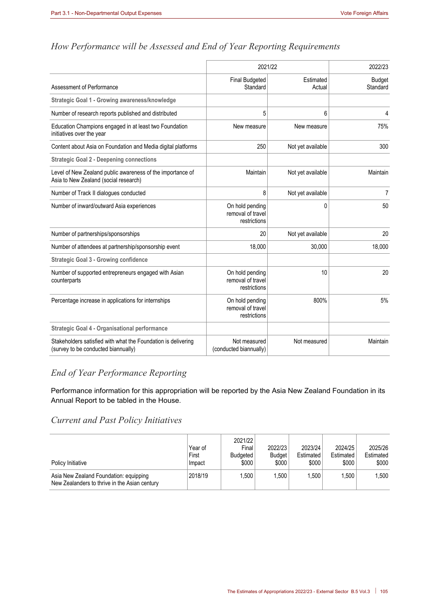|                                                                                                      | 2021/22                                              | 2022/23             |                           |
|------------------------------------------------------------------------------------------------------|------------------------------------------------------|---------------------|---------------------------|
| Assessment of Performance                                                                            | <b>Final Budgeted</b><br>Standard                    | Estimated<br>Actual | <b>Budget</b><br>Standard |
| Strategic Goal 1 - Growing awareness/knowledge                                                       |                                                      |                     |                           |
| Number of research reports published and distributed                                                 | 5                                                    | 6                   | 4                         |
| Education Champions engaged in at least two Foundation<br>initiatives over the year                  | New measure                                          | New measure         | 75%                       |
| Content about Asia on Foundation and Media digital platforms                                         | 250                                                  | Not yet available   | 300                       |
| <b>Strategic Goal 2 - Deepening connections</b>                                                      |                                                      |                     |                           |
| Level of New Zealand public awareness of the importance of<br>Asia to New Zealand (social research)  | Maintain                                             | Not yet available   | Maintain                  |
| Number of Track II dialogues conducted                                                               | 8                                                    | Not yet available   | 7                         |
| Number of inward/outward Asia experiences                                                            | On hold pending<br>removal of travel<br>restrictions | $\mathbf{0}$        | 50                        |
| Number of partnerships/sponsorships                                                                  | 20                                                   | Not yet available   | 20                        |
| Number of attendees at partnership/sponsorship event                                                 | 18,000                                               | 30,000              | 18,000                    |
| <b>Strategic Goal 3 - Growing confidence</b>                                                         |                                                      |                     |                           |
| Number of supported entrepreneurs engaged with Asian<br>counterparts                                 | On hold pending<br>removal of travel<br>restrictions | 10                  | 20                        |
| Percentage increase in applications for internships                                                  | On hold pending<br>removal of travel<br>restrictions | 800%                | 5%                        |
| <b>Strategic Goal 4 - Organisational performance</b>                                                 |                                                      |                     |                           |
| Stakeholders satisfied with what the Foundation is delivering<br>(survey to be conducted biannually) | Not measured<br>(conducted biannually)               | Not measured        | Maintain                  |

# *How Performance will be Assessed and End of Year Reporting Requirements*

# *End of Year Performance Reporting*

Performance information for this appropriation will be reported by the Asia New Zealand Foundation in its Annual Report to be tabled in the House.

# *Current and Past Policy Initiatives*

| Policy Initiative                                                                       | Year of<br>First<br>Impact | 2021/22<br>Final<br>Budgeted<br>\$000 | 2022/23<br><b>Budget</b><br>\$000 | 2023/24<br>Estimated<br>\$000 | 2024/25<br>Estimated<br>\$000 | 2025/26<br>Estimated<br>\$000 |
|-----------------------------------------------------------------------------------------|----------------------------|---------------------------------------|-----------------------------------|-------------------------------|-------------------------------|-------------------------------|
| Asia New Zealand Foundation: equipping<br>New Zealanders to thrive in the Asian century | 2018/19                    | .500                                  | 1.500                             | 1.500                         | .500                          | 1.500                         |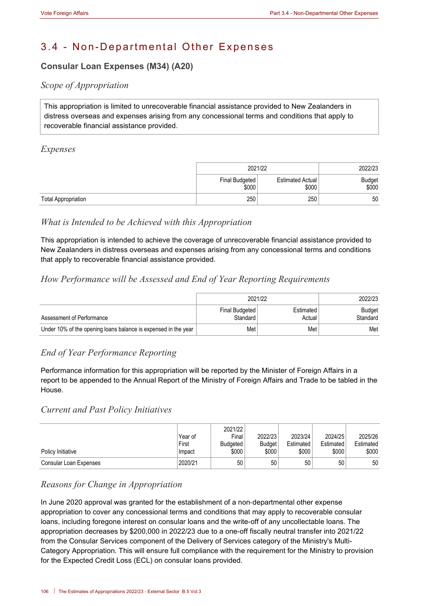# 3.4 - Non-Departmental Other Expenses

# **Consular Loan Expenses (M34) (A20)**

# *Scope of Appropriation*

This appropriation is limited to unrecoverable financial assistance provided to New Zealanders in distress overseas and expenses arising from any concessional terms and conditions that apply to recoverable financial assistance provided.

#### *Expenses*

|                            | 2021/22                 |                                  | 2022/23         |
|----------------------------|-------------------------|----------------------------------|-----------------|
|                            | Final Budgeted<br>\$000 | <b>Estimated Actual</b><br>\$000 | Budget<br>\$000 |
| <b>Total Appropriation</b> | 250                     | 250                              | 50              |

# *What is Intended to be Achieved with this Appropriation*

This appropriation is intended to achieve the coverage of unrecoverable financial assistance provided to New Zealanders in distress overseas and expenses arising from any concessional terms and conditions that apply to recoverable financial assistance provided.

# *How Performance will be Assessed and End of Year Reporting Requirements*

|                                                                | 2021/22                    | 2022/23             |                    |
|----------------------------------------------------------------|----------------------------|---------------------|--------------------|
| Assessment of Performance                                      | Final Budgeted<br>Standard | Estimated<br>Actual | Budget<br>Standard |
| Under 10% of the opening loans balance is expensed in the year | Met                        | Met                 | Met                |

# *End of Year Performance Reporting*

Performance information for this appropriation will be reported by the Minister of Foreign Affairs in a report to be appended to the Annual Report of the Ministry of Foreign Affairs and Trade to be tabled in the House.

## *Current and Past Policy Initiatives*

|                        | Year of         | 2021/22<br>Final         | 2022/23         | 2023/24            | 2024/25            | 2025/26            |
|------------------------|-----------------|--------------------------|-----------------|--------------------|--------------------|--------------------|
| Policy Initiative      | First<br>Impact | <b>Budgeted</b><br>\$000 | Budget<br>\$000 | Estimated<br>\$000 | Estimated<br>\$000 | Estimated<br>\$000 |
| Consular Loan Expenses | 2020/21         | 50                       | 50              | 50                 | 50                 | 50                 |

## *Reasons for Change in Appropriation*

In June 2020 approval was granted for the establishment of a non-departmental other expense appropriation to cover any concessional terms and conditions that may apply to recoverable consular loans, including foregone interest on consular loans and the write-off of any uncollectable loans. The appropriation decreases by \$200,000 in 2022/23 due to a one-off fiscally neutral transfer into 2021/22 from the Consular Services component of the Delivery of Services category of the Ministry's Multi-Category Appropriation. This will ensure full compliance with the requirement for the Ministry to provision for the Expected Credit Loss (ECL) on consular loans provided.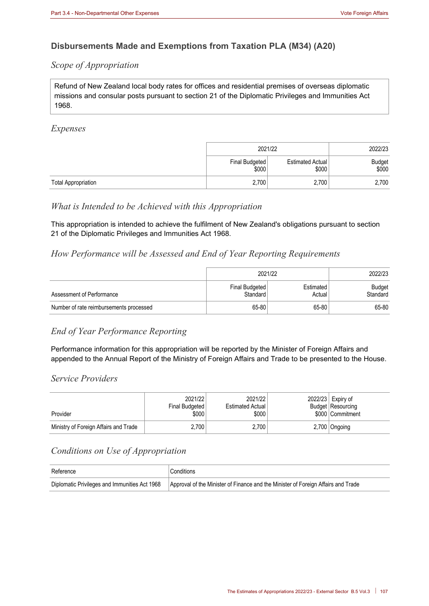# **Disbursements Made and Exemptions from Taxation PLA (M34) (A20)**

## *Scope of Appropriation*

Refund of New Zealand local body rates for offices and residential premises of overseas diplomatic missions and consular posts pursuant to section 21 of the Diplomatic Privileges and Immunities Act 1968.

#### *Expenses*

|                            | 2021/22                 | 2022/23                   |                 |
|----------------------------|-------------------------|---------------------------|-----------------|
|                            | Final Budgeted<br>\$000 | Estimated Actual<br>\$000 | Budget<br>\$000 |
| <b>Total Appropriation</b> | 2,700                   | 2,700                     | 2,700           |

## *What is Intended to be Achieved with this Appropriation*

This appropriation is intended to achieve the fulfilment of New Zealand's obligations pursuant to section 21 of the Diplomatic Privileges and Immunities Act 1968.

## *How Performance will be Assessed and End of Year Reporting Requirements*

|                                         | 2021/22                    | 2022/23             |                    |
|-----------------------------------------|----------------------------|---------------------|--------------------|
| Assessment of Performance               | Final Budgeted<br>Standard | Estimated<br>Actual | Budget<br>Standard |
| Number of rate reimbursements processed | 65-80                      | 65-80               | 65-80              |

## *End of Year Performance Reporting*

Performance information for this appropriation will be reported by the Minister of Foreign Affairs and appended to the Annual Report of the Ministry of Foreign Affairs and Trade to be presented to the House.

#### *Service Providers*

| Provider                              | 2021/22<br>Final Budgeted<br>\$000 | 2021/22<br><b>Estimated Actual</b><br>\$000 | 2022/23 Expiry of<br>Budget Resourcing<br>\$000 Commitment |
|---------------------------------------|------------------------------------|---------------------------------------------|------------------------------------------------------------|
| Ministry of Foreign Affairs and Trade | 2.700                              | 2.700                                       | 2,700 Ongoing                                              |

## *Conditions on Use of Appropriation*

| Reference | <sup>'</sup> Conditions                                                                                                           |
|-----------|-----------------------------------------------------------------------------------------------------------------------------------|
|           | Diplomatic Privileges and Immunities Act 1968   Approval of the Minister of Finance and the Minister of Foreign Affairs and Trade |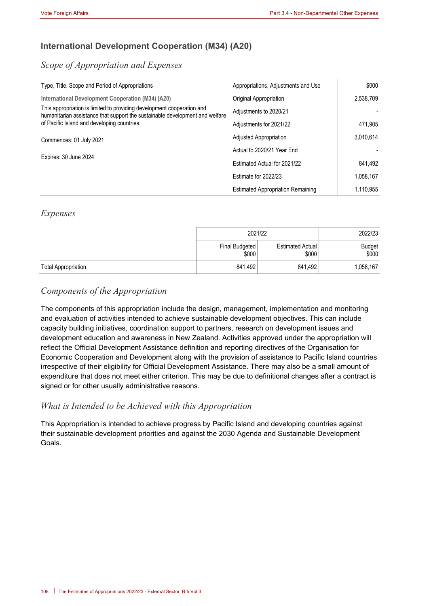# **International Development Cooperation (M34) (A20)**

# *Scope of Appropriation and Expenses*

| Type, Title, Scope and Period of Appropriations                                                                                                                                                       | Appropriations, Adjustments and Use      | \$000     |
|-------------------------------------------------------------------------------------------------------------------------------------------------------------------------------------------------------|------------------------------------------|-----------|
| International Development Cooperation (M34) (A20)                                                                                                                                                     | Original Appropriation                   | 2,538,709 |
| This appropriation is limited to providing development cooperation and<br>humanitarian assistance that support the sustainable development and welfare<br>of Pacific Island and developing countries. | Adjustments to 2020/21                   |           |
|                                                                                                                                                                                                       | Adjustments for 2021/22                  | 471,905   |
| Commences: 01 July 2021                                                                                                                                                                               | Adjusted Appropriation                   | 3.010.614 |
|                                                                                                                                                                                                       | Actual to 2020/21 Year End               |           |
| Expires: 30 June 2024                                                                                                                                                                                 | Estimated Actual for 2021/22             | 841,492   |
|                                                                                                                                                                                                       | Estimate for 2022/23                     | 1.058.167 |
|                                                                                                                                                                                                       | <b>Estimated Appropriation Remaining</b> | 1,110,955 |

#### *Expenses*

|                            | 2021/22                 | 2022/23                   |                        |
|----------------------------|-------------------------|---------------------------|------------------------|
|                            | Final Budgeted<br>\$000 | Estimated Actual<br>\$000 | <b>Budget</b><br>\$000 |
| <b>Total Appropriation</b> | 841.492                 | 841.492                   | 1,058,167              |

# *Components of the Appropriation*

The components of this appropriation include the design, management, implementation and monitoring and evaluation of activities intended to achieve sustainable development objectives. This can include capacity building initiatives, coordination support to partners, research on development issues and development education and awareness in New Zealand. Activities approved under the appropriation will reflect the Official Development Assistance definition and reporting directives of the Organisation for Economic Cooperation and Development along with the provision of assistance to Pacific Island countries irrespective of their eligibility for Official Development Assistance. There may also be a small amount of expenditure that does not meet either criterion. This may be due to definitional changes after a contract is signed or for other usually administrative reasons.

## *What is Intended to be Achieved with this Appropriation*

This Appropriation is intended to achieve progress by Pacific Island and developing countries against their sustainable development priorities and against the 2030 Agenda and Sustainable Development Goals.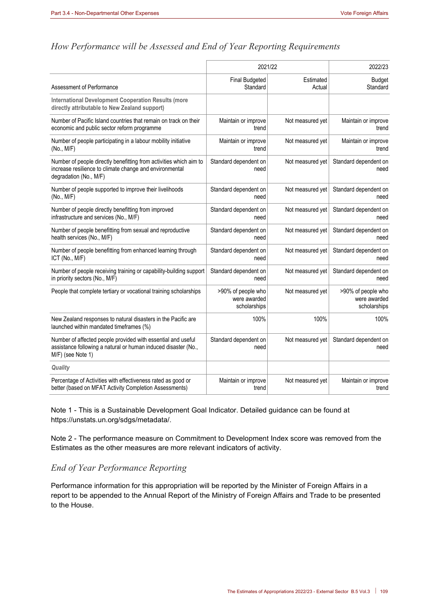#### *How Performance will be Assessed and End of Year Reporting Requirements*

|                                                                                                                                                         | 2021/22                                            |                  | 2022/23                                            |
|---------------------------------------------------------------------------------------------------------------------------------------------------------|----------------------------------------------------|------------------|----------------------------------------------------|
| Assessment of Performance                                                                                                                               | <b>Final Budgeted</b>                              | Estimated        | <b>Budget</b>                                      |
|                                                                                                                                                         | Standard                                           | Actual           | Standard                                           |
| <b>International Development Cooperation Results (more</b><br>directly attributable to New Zealand support)                                             |                                                    |                  |                                                    |
| Number of Pacific Island countries that remain on track on their                                                                                        | Maintain or improve                                | Not measured yet | Maintain or improve                                |
| economic and public sector reform programme                                                                                                             | trend                                              |                  | trend                                              |
| Number of people participating in a labour mobility initiative                                                                                          | Maintain or improve                                | Not measured yet | Maintain or improve                                |
| (No., M/F)                                                                                                                                              | trend                                              |                  | trend                                              |
| Number of people directly benefitting from activities which aim to<br>increase resilience to climate change and environmental<br>degradation (No., M/F) | Standard dependent on<br>need                      | Not measured yet | Standard dependent on<br>need                      |
| Number of people supported to improve their livelihoods                                                                                                 | Standard dependent on                              | Not measured yet | Standard dependent on                              |
| (No., MI/F)                                                                                                                                             | need                                               |                  | need                                               |
| Number of people directly benefitting from improved                                                                                                     | Standard dependent on                              | Not measured yet | Standard dependent on                              |
| infrastructure and services (No., M/F)                                                                                                                  | need                                               |                  | need                                               |
| Number of people benefitting from sexual and reproductive                                                                                               | Standard dependent on                              | Not measured yet | Standard dependent on                              |
| health services (No., M/F)                                                                                                                              | need                                               |                  | need                                               |
| Number of people benefitting from enhanced learning through                                                                                             | Standard dependent on                              | Not measured yet | Standard dependent on                              |
| ICT (No., M/F)                                                                                                                                          | need                                               |                  | need                                               |
| Number of people receiving training or capability-building support                                                                                      | Standard dependent on                              | Not measured yet | Standard dependent on                              |
| in priority sectors (No., M/F)                                                                                                                          | need                                               |                  | need                                               |
| People that complete tertiary or vocational training scholarships                                                                                       | >90% of people who<br>were awarded<br>scholarships | Not measured yet | >90% of people who<br>were awarded<br>scholarships |
| New Zealand responses to natural disasters in the Pacific are<br>launched within mandated timeframes (%)                                                | 100%                                               | 100%             | 100%                                               |
| Number of affected people provided with essential and useful<br>assistance following a natural or human induced disaster (No.,<br>M/F) (see Note 1)     | Standard dependent on<br>need                      | Not measured yet | Standard dependent on<br>need                      |
| Quality                                                                                                                                                 |                                                    |                  |                                                    |
| Percentage of Activities with effectiveness rated as good or                                                                                            | Maintain or improve                                | Not measured yet | Maintain or improve                                |
| better (based on MFAT Activity Completion Assessments)                                                                                                  | trend                                              |                  | trend                                              |

Note 1 - This is a Sustainable Development Goal Indicator. Detailed guidance can be found at https://unstats.un.org/sdgs/metadata/.

Note 2 - The performance measure on Commitment to Development Index score was removed from the Estimates as the other measures are more relevant indicators of activity.

# *End of Year Performance Reporting*

Performance information for this appropriation will be reported by the Minister of Foreign Affairs in a report to be appended to the Annual Report of the Ministry of Foreign Affairs and Trade to be presented to the House.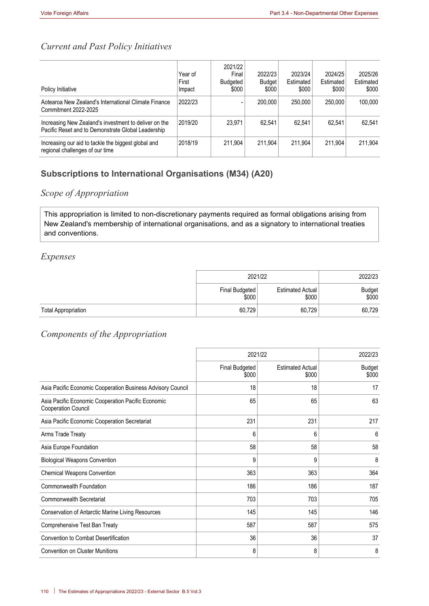# *Current and Past Policy Initiatives*

| Policy Initiative                                                                                           | Year of<br>First<br>Impact | 2021/22<br>Final<br>Budgeted<br>\$000 | 2022/23<br><b>Budget</b><br>\$000 | 2023/24<br>Estimated<br>\$000 | 2024/25<br>Estimated<br>\$000 | 2025/26<br>Estimated<br>\$000 |
|-------------------------------------------------------------------------------------------------------------|----------------------------|---------------------------------------|-----------------------------------|-------------------------------|-------------------------------|-------------------------------|
| Aotearoa New Zealand's International Climate Finance<br>Commitment 2022-2025                                | 2022/23                    |                                       | 200,000                           | 250,000                       | 250,000                       | 100.000                       |
| Increasing New Zealand's investment to deliver on the<br>Pacific Reset and to Demonstrate Global Leadership | 2019/20                    | 23.971                                | 62.541                            | 62.541                        | 62.541                        | 62.541                        |
| Increasing our aid to tackle the biggest global and<br>regional challenges of our time                      | 2018/19                    | 211.904                               | 211.904                           | 211.904                       | 211.904                       | 211.904                       |

# **Subscriptions to International Organisations (M34) (A20)**

# *Scope of Appropriation*

This appropriation is limited to non-discretionary payments required as formal obligations arising from New Zealand's membership of international organisations, and as a signatory to international treaties and conventions.

#### *Expenses*

|                            | 2021/22                 | 2022/23                   |                 |
|----------------------------|-------------------------|---------------------------|-----------------|
|                            | Final Budgeted<br>\$000 | Estimated Actual<br>\$000 | Budget<br>\$000 |
| <b>Total Appropriation</b> | 60,729                  | 60.729                    | 60,729          |

# *Components of the Appropriation*

|                                                                                  | 2021/22                 |                                  | 2022/23                |
|----------------------------------------------------------------------------------|-------------------------|----------------------------------|------------------------|
|                                                                                  | Final Budgeted<br>\$000 | <b>Estimated Actual</b><br>\$000 | <b>Budget</b><br>\$000 |
| Asia Pacific Economic Cooperation Business Advisory Council                      | 18                      | 18                               | 17                     |
| Asia Pacific Economic Cooperation Pacific Economic<br><b>Cooperation Council</b> | 65                      | 65                               | 63                     |
| Asia Pacific Economic Cooperation Secretariat                                    | 231                     | 231                              | 217                    |
| Arms Trade Treaty                                                                | 6                       | 6                                | 6                      |
| Asia Europe Foundation                                                           | 58                      | 58                               | 58                     |
| <b>Biological Weapons Convention</b>                                             | 9                       | 9                                | 8                      |
| Chemical Weapons Convention                                                      | 363                     | 363                              | 364                    |
| Commonwealth Foundation                                                          | 186                     | 186                              | 187                    |
| <b>Commonwealth Secretariat</b>                                                  | 703                     | 703                              | 705                    |
| Conservation of Antarctic Marine Living Resources                                | 145                     | 145                              | 146                    |
| Comprehensive Test Ban Treaty                                                    | 587                     | 587                              | 575                    |
| <b>Convention to Combat Desertification</b>                                      | 36                      | 36                               | 37                     |
| <b>Convention on Cluster Munitions</b>                                           | 8                       | 8                                | 8                      |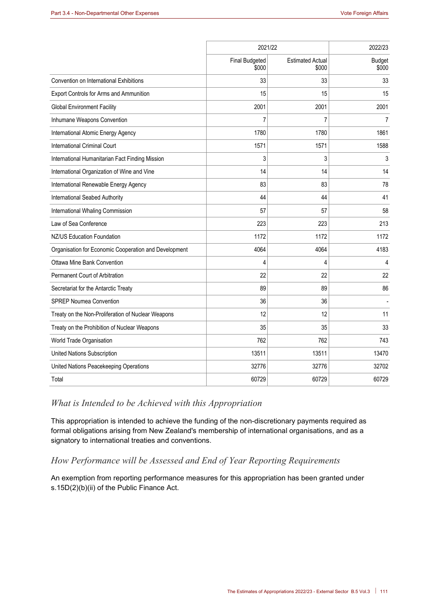|                                                       | 2021/22                        | 2022/23                          |                        |
|-------------------------------------------------------|--------------------------------|----------------------------------|------------------------|
|                                                       | <b>Final Budgeted</b><br>\$000 | <b>Estimated Actual</b><br>\$000 | <b>Budget</b><br>\$000 |
| Convention on International Exhibitions               | 33                             | 33                               | 33                     |
| Export Controls for Arms and Ammunition               | 15                             | 15                               | 15                     |
| <b>Global Environment Facility</b>                    | 2001                           | 2001                             | 2001                   |
| Inhumane Weapons Convention                           | 7                              | 7                                | 7                      |
| International Atomic Energy Agency                    | 1780                           | 1780                             | 1861                   |
| <b>International Criminal Court</b>                   | 1571                           | 1571                             | 1588                   |
| International Humanitarian Fact Finding Mission       | 3                              | 3                                | 3                      |
| International Organization of Wine and Vine           | 14                             | 14                               | 14                     |
| International Renewable Energy Agency                 | 83                             | 83                               | 78                     |
| International Seabed Authority                        | 44                             | 44                               | 41                     |
| International Whaling Commission                      | 57                             | 57                               | 58                     |
| Law of Sea Conference                                 | 223                            | 223                              | 213                    |
| NZ/US Education Foundation                            | 1172                           | 1172                             | 1172                   |
| Organisation for Economic Cooperation and Development | 4064                           | 4064                             | 4183                   |
| Ottawa Mine Bank Convention                           | 4                              | 4                                | 4                      |
| Permanent Court of Arbitration                        | 22                             | 22                               | 22                     |
| Secretariat for the Antarctic Treaty                  | 89                             | 89                               | 86                     |
| <b>SPREP Noumea Convention</b>                        | 36                             | 36                               |                        |
| Treaty on the Non-Proliferation of Nuclear Weapons    | 12                             | 12                               | 11                     |
| Treaty on the Prohibition of Nuclear Weapons          | 35                             | 35                               | 33                     |
| World Trade Organisation                              | 762                            | 762                              | 743                    |
| United Nations Subscription                           | 13511                          | 13511                            | 13470                  |
| United Nations Peacekeeping Operations                | 32776                          | 32776                            | 32702                  |
| Total                                                 | 60729                          | 60729                            | 60729                  |

# *What is Intended to be Achieved with this Appropriation*

This appropriation is intended to achieve the funding of the non-discretionary payments required as formal obligations arising from New Zealand's membership of international organisations, and as a signatory to international treaties and conventions.

# *How Performance will be Assessed and End of Year Reporting Requirements*

An exemption from reporting performance measures for this appropriation has been granted under s.15D(2)(b)(ii) of the Public Finance Act.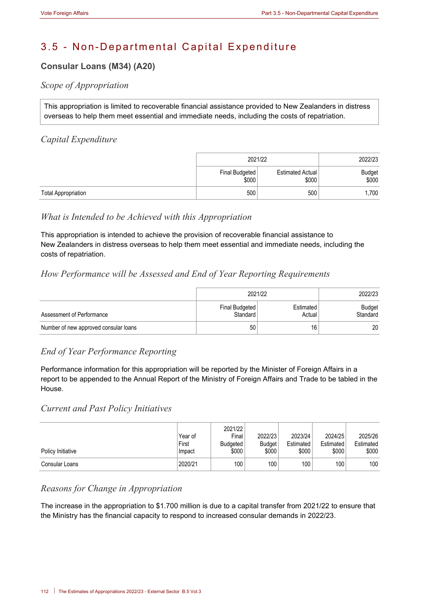# 3.5 - Non-Departmental Capital Expenditure

# **Consular Loans (M34) (A20)**

# *Scope of Appropriation*

This appropriation is limited to recoverable financial assistance provided to New Zealanders in distress overseas to help them meet essential and immediate needs, including the costs of repatriation.

# *Capital Expenditure*

|                            | 2021/22                 | 2022/23                   |                        |
|----------------------------|-------------------------|---------------------------|------------------------|
|                            | Final Budgeted<br>\$000 | Estimated Actual<br>\$000 | <b>Budget</b><br>\$000 |
| <b>Total Appropriation</b> | 500                     | 500                       | 1,700                  |

# *What is Intended to be Achieved with this Appropriation*

This appropriation is intended to achieve the provision of recoverable financial assistance to New Zealanders in distress overseas to help them meet essential and immediate needs, including the costs of repatriation.

# *How Performance will be Assessed and End of Year Reporting Requirements*

|                                       | 2021/22                    | 2022/23             |                    |
|---------------------------------------|----------------------------|---------------------|--------------------|
| Assessment of Performance             | Final Budgeted<br>Standard | Estimated<br>Actual | Budget<br>Standard |
| Number of new approved consular loans | 50                         | 16                  | 20                 |

# *End of Year Performance Reporting*

Performance information for this appropriation will be reported by the Minister of Foreign Affairs in a report to be appended to the Annual Report of the Ministry of Foreign Affairs and Trade to be tabled in the House.

# *Current and Past Policy Initiatives*

| Policy Initiative | Year of<br>First<br>Impact | 2021/22<br>Final<br>Budgeted<br>\$000 | 2022/23<br><b>Budget</b><br>\$000 | 2023/24<br>Estimated<br>\$000 | 2024/25<br>Estimated<br>\$000 | 2025/26<br>Estimated<br>\$000 |
|-------------------|----------------------------|---------------------------------------|-----------------------------------|-------------------------------|-------------------------------|-------------------------------|
| Consular Loans    | 2020/21                    | 100 <sub>1</sub>                      | 100                               | 100                           | 100 <sub>1</sub>              | 100                           |

# *Reasons for Change in Appropriation*

The increase in the appropriation to \$1.700 million is due to a capital transfer from 2021/22 to ensure that the Ministry has the financial capacity to respond to increased consular demands in 2022/23.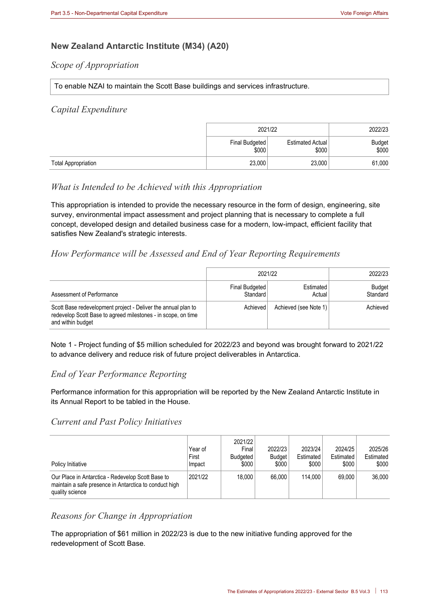# **New Zealand Antarctic Institute (M34) (A20)**

#### *Scope of Appropriation*

#### To enable NZAI to maintain the Scott Base buildings and services infrastructure.

#### *Capital Expenditure*

|                            | 2021/22                 | 2022/23                   |                        |
|----------------------------|-------------------------|---------------------------|------------------------|
|                            | Final Budgeted<br>\$000 | Estimated Actual<br>\$000 | <b>Budget</b><br>\$000 |
| <b>Total Appropriation</b> | 23,000                  | 23,000                    | 61,000                 |

## *What is Intended to be Achieved with this Appropriation*

This appropriation is intended to provide the necessary resource in the form of design, engineering, site survey, environmental impact assessment and project planning that is necessary to complete a full concept, developed design and detailed business case for a modern, low-impact, efficient facility that satisfies New Zealand's strategic interests.

# *How Performance will be Assessed and End of Year Reporting Requirements*

|                                                                                                                                                     | 2021/22                    | 2022/23                    |                    |
|-----------------------------------------------------------------------------------------------------------------------------------------------------|----------------------------|----------------------------|--------------------|
| Assessment of Performance                                                                                                                           | Final Budgeted<br>Standard | <b>Estimated</b><br>Actual | Budget<br>Standard |
| Scott Base redevelopment project - Deliver the annual plan to<br>redevelop Scott Base to agreed milestones - in scope, on time<br>and within budget | Achieved                   | Achieved (see Note 1)      | Achieved           |

Note 1 - Project funding of \$5 million scheduled for 2022/23 and beyond was brought forward to 2021/22 to advance delivery and reduce risk of future project deliverables in Antarctica.

# *End of Year Performance Reporting*

Performance information for this appropriation will be reported by the New Zealand Antarctic Institute in its Annual Report to be tabled in the House.

#### *Current and Past Policy Initiatives*

| Policy Initiative                                                                                                              | Year of<br>First<br>Impact | 2021/22<br>Final<br>Budgeted<br>\$000 | 2022/23<br><b>Budget</b><br>\$000 | 2023/24<br>Estimated<br>\$000 | 2024/25<br>Estimated<br>\$000 | 2025/26<br>Estimated<br>\$000 |
|--------------------------------------------------------------------------------------------------------------------------------|----------------------------|---------------------------------------|-----------------------------------|-------------------------------|-------------------------------|-------------------------------|
| Our Place in Antarctica - Redevelop Scott Base to<br>maintain a safe presence in Antarctica to conduct high<br>quality science | 2021/22                    | 18,000                                | 66,000                            | 114.000                       | 69.000                        | 36,000                        |

## *Reasons for Change in Appropriation*

The appropriation of \$61 million in 2022/23 is due to the new initiative funding approved for the redevelopment of Scott Base.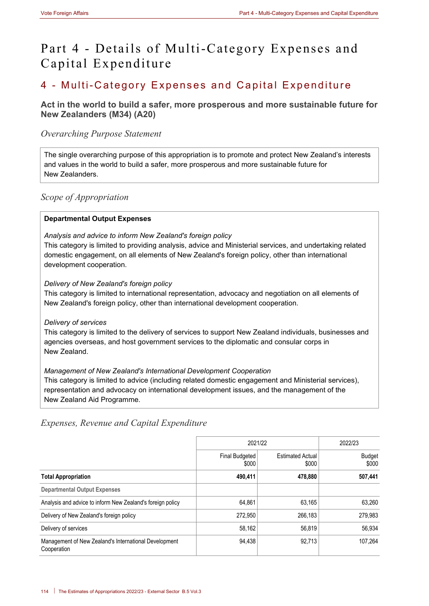# Part 4 - Details of Multi-Category Expenses and Capital Expenditure

# 4 - Multi-Category Expenses and Capital Expenditure

# **Act in the world to build a safer, more prosperous and more sustainable future for New Zealanders (M34) (A20)**

# *Overarching Purpose Statement*

The single overarching purpose of this appropriation is to promote and protect New Zealand's interests and values in the world to build a safer, more prosperous and more sustainable future for New Zealanders.

# *Scope of Appropriation*

## **Departmental Output Expenses**

#### *Analysis and advice to inform New Zealand's foreign policy*

This category is limited to providing analysis, advice and Ministerial services, and undertaking related domestic engagement, on all elements of New Zealand's foreign policy, other than international development cooperation.

#### *Delivery of New Zealand's foreign policy*

This category is limited to international representation, advocacy and negotiation on all elements of New Zealand's foreign policy, other than international development cooperation.

#### *Delivery of services*

This category is limited to the delivery of services to support New Zealand individuals, businesses and agencies overseas, and host government services to the diplomatic and consular corps in New Zealand.

## *Management of New Zealand's International Development Cooperation*

This category is limited to advice (including related domestic engagement and Ministerial services), representation and advocacy on international development issues, and the management of the New Zealand Aid Programme.

# *Expenses, Revenue and Capital Expenditure*

|                                                                      | 2021/22                 | 2022/23                          |                 |
|----------------------------------------------------------------------|-------------------------|----------------------------------|-----------------|
|                                                                      | Final Budgeted<br>\$000 | <b>Estimated Actual</b><br>\$000 | Budget<br>\$000 |
| <b>Total Appropriation</b>                                           | 490,411                 | 478,880                          | 507,441         |
| <b>Departmental Output Expenses</b>                                  |                         |                                  |                 |
| Analysis and advice to inform New Zealand's foreign policy           | 64,861                  | 63.165                           | 63,260          |
| Delivery of New Zealand's foreign policy                             | 272.950                 | 266.183                          | 279,983         |
| Delivery of services                                                 | 58,162                  | 56,819                           | 56,934          |
| Management of New Zealand's International Development<br>Cooperation | 94.438                  | 92.713                           | 107.264         |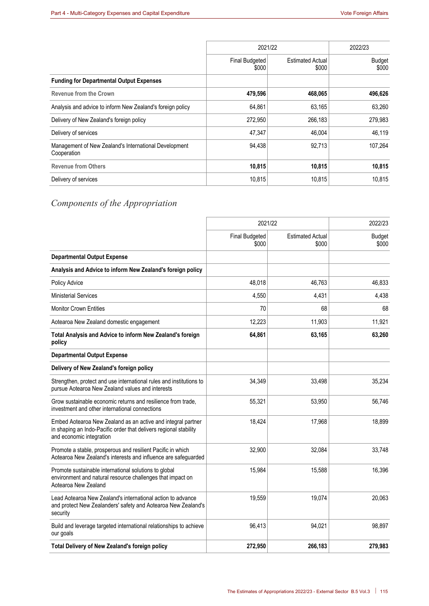|                                                                      | 2021/22                        | 2022/23                          |                        |
|----------------------------------------------------------------------|--------------------------------|----------------------------------|------------------------|
|                                                                      | <b>Final Budgeted</b><br>\$000 | <b>Estimated Actual</b><br>\$000 | <b>Budget</b><br>\$000 |
| <b>Funding for Departmental Output Expenses</b>                      |                                |                                  |                        |
| <b>Revenue from the Crown</b>                                        | 479,596                        | 468,065                          | 496,626                |
| Analysis and advice to inform New Zealand's foreign policy           | 64,861                         | 63,165                           | 63,260                 |
| Delivery of New Zealand's foreign policy                             | 272.950                        | 266,183                          | 279,983                |
| Delivery of services                                                 | 47,347                         | 46,004                           | 46,119                 |
| Management of New Zealand's International Development<br>Cooperation | 94,438                         | 92,713                           | 107,264                |
| <b>Revenue from Others</b>                                           | 10,815                         | 10,815                           | 10,815                 |
| Delivery of services                                                 | 10,815                         | 10,815                           | 10.815                 |

# *Components of the Appropriation*

|                                                                                                                                                               | 2021/22                        | 2022/23                          |                        |
|---------------------------------------------------------------------------------------------------------------------------------------------------------------|--------------------------------|----------------------------------|------------------------|
|                                                                                                                                                               | <b>Final Budgeted</b><br>\$000 | <b>Estimated Actual</b><br>\$000 | <b>Budget</b><br>\$000 |
| <b>Departmental Output Expense</b>                                                                                                                            |                                |                                  |                        |
| Analysis and Advice to inform New Zealand's foreign policy                                                                                                    |                                |                                  |                        |
| Policy Advice                                                                                                                                                 | 48,018                         | 46,763                           | 46,833                 |
| <b>Ministerial Services</b>                                                                                                                                   | 4,550                          | 4,431                            | 4,438                  |
| <b>Monitor Crown Entities</b>                                                                                                                                 | 70                             | 68                               | 68                     |
| Aotearoa New Zealand domestic engagement                                                                                                                      | 12,223                         | 11,903                           | 11,921                 |
| Total Analysis and Advice to inform New Zealand's foreign<br>policy                                                                                           | 64,861                         | 63,165                           | 63,260                 |
| <b>Departmental Output Expense</b>                                                                                                                            |                                |                                  |                        |
| Delivery of New Zealand's foreign policy                                                                                                                      |                                |                                  |                        |
| Strengthen, protect and use international rules and institutions to<br>pursue Aotearoa New Zealand values and interests                                       | 34,349                         | 33,498                           | 35,234                 |
| Grow sustainable economic returns and resilience from trade,<br>investment and other international connections                                                | 55,321                         | 53,950                           | 56,746                 |
| Embed Aotearoa New Zealand as an active and integral partner<br>in shaping an Indo-Pacific order that delivers regional stability<br>and economic integration | 18,424                         | 17,968                           | 18,899                 |
| Promote a stable, prosperous and resilient Pacific in which<br>Aotearoa New Zealand's interests and influence are safeguarded                                 | 32,900                         | 32,084                           | 33,748                 |
| Promote sustainable international solutions to global<br>environment and natural resource challenges that impact on<br>Aotearoa New Zealand                   | 15,984                         | 15,588                           | 16,396                 |
| Lead Aotearoa New Zealand's international action to advance<br>and protect New Zealanders' safety and Aotearoa New Zealand's<br>security                      | 19,559                         | 19,074                           | 20,063                 |
| Build and leverage targeted international relationships to achieve<br>our goals                                                                               | 96,413                         | 94,021                           | 98,897                 |
| Total Delivery of New Zealand's foreign policy                                                                                                                | 272,950                        | 266,183                          | 279,983                |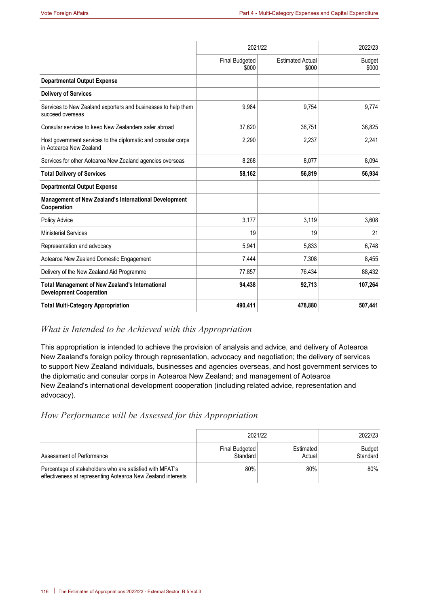|                                                                                          | 2021/22                        |                                  | 2022/23                |
|------------------------------------------------------------------------------------------|--------------------------------|----------------------------------|------------------------|
|                                                                                          | <b>Final Budgeted</b><br>\$000 | <b>Estimated Actual</b><br>\$000 | <b>Budget</b><br>\$000 |
| <b>Departmental Output Expense</b>                                                       |                                |                                  |                        |
| <b>Delivery of Services</b>                                                              |                                |                                  |                        |
| Services to New Zealand exporters and businesses to help them<br>succeed overseas        | 9,984                          | 9,754                            | 9,774                  |
| Consular services to keep New Zealanders safer abroad                                    | 37,620                         | 36,751                           | 36,825                 |
| Host government services to the diplomatic and consular corps<br>in Aotearoa New Zealand | 2,290                          | 2,237                            | 2,241                  |
| Services for other Aotearoa New Zealand agencies overseas                                | 8,268                          | 8,077                            | 8,094                  |
| <b>Total Delivery of Services</b>                                                        | 58,162                         | 56,819                           | 56,934                 |
| <b>Departmental Output Expense</b>                                                       |                                |                                  |                        |
| Management of New Zealand's International Development<br>Cooperation                     |                                |                                  |                        |
| Policy Advice                                                                            | 3,177                          | 3,119                            | 3,608                  |
| <b>Ministerial Services</b>                                                              | 19                             | 19                               | 21                     |
| Representation and advocacy                                                              | 5,941                          | 5,833                            | 6,748                  |
| Aotearoa New Zealand Domestic Engagement                                                 | 7,444                          | 7.308                            | 8,455                  |
| Delivery of the New Zealand Aid Programme                                                | 77,857                         | 76.434                           | 88,432                 |
| <b>Total Management of New Zealand's International</b><br><b>Development Cooperation</b> | 94,438                         | 92,713                           | 107,264                |
| <b>Total Multi-Category Appropriation</b>                                                | 490,411                        | 478,880                          | 507,441                |

## *What is Intended to be Achieved with this Appropriation*

This appropriation is intended to achieve the provision of analysis and advice, and delivery of Aotearoa New Zealand's foreign policy through representation, advocacy and negotiation; the delivery of services to support New Zealand individuals, businesses and agencies overseas, and host government services to the diplomatic and consular corps in Aotearoa New Zealand; and management of Aotearoa New Zealand's international development cooperation (including related advice, representation and advocacy).

# *How Performance will be Assessed for this Appropriation*

|                                                                                                                          | 2021/22                    | 2022/23             |                           |
|--------------------------------------------------------------------------------------------------------------------------|----------------------------|---------------------|---------------------------|
| Assessment of Performance                                                                                                | Final Budgeted<br>Standard | Estimated<br>Actual | <b>Budget</b><br>Standard |
| Percentage of stakeholders who are satisfied with MFAT's<br>effectiveness at representing Aotearoa New Zealand interests | 80%                        | 80%                 | 80%                       |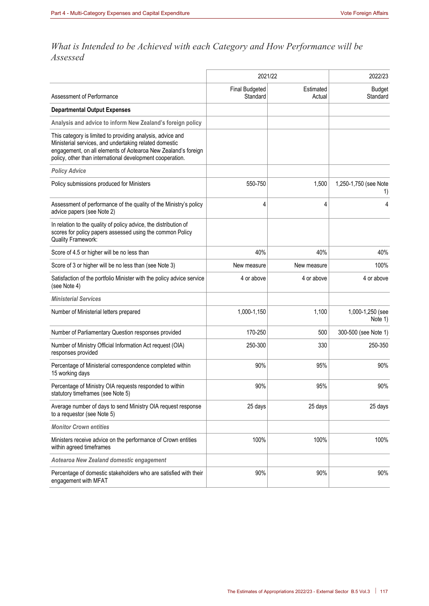# *What is Intended to be Achieved with each Category and How Performance will be Assessed*

|                                                                                                                                                                                                                                                    | 2021/22                           |                     | 2022/23                     |
|----------------------------------------------------------------------------------------------------------------------------------------------------------------------------------------------------------------------------------------------------|-----------------------------------|---------------------|-----------------------------|
| Assessment of Performance                                                                                                                                                                                                                          | <b>Final Budgeted</b><br>Standard | Estimated<br>Actual | <b>Budget</b><br>Standard   |
| <b>Departmental Output Expenses</b>                                                                                                                                                                                                                |                                   |                     |                             |
| Analysis and advice to inform New Zealand's foreign policy                                                                                                                                                                                         |                                   |                     |                             |
| This category is limited to providing analysis, advice and<br>Ministerial services, and undertaking related domestic<br>engagement, on all elements of Aotearoa New Zealand's foreign<br>policy, other than international development cooperation. |                                   |                     |                             |
| <b>Policy Advice</b>                                                                                                                                                                                                                               |                                   |                     |                             |
| Policy submissions produced for Ministers                                                                                                                                                                                                          | 550-750                           | 1,500               | 1,250-1,750 (see Note<br>1) |
| Assessment of performance of the quality of the Ministry's policy<br>advice papers (see Note 2)                                                                                                                                                    | 4                                 | 4                   | 4                           |
| In relation to the quality of policy advice, the distribution of<br>scores for policy papers assessed using the common Policy<br><b>Quality Framework:</b>                                                                                         |                                   |                     |                             |
| Score of 4.5 or higher will be no less than                                                                                                                                                                                                        | 40%                               | 40%                 | 40%                         |
| Score of 3 or higher will be no less than (see Note 3)                                                                                                                                                                                             | New measure                       | New measure         | 100%                        |
| Satisfaction of the portfolio Minister with the policy advice service<br>(see Note 4)                                                                                                                                                              | 4 or above                        | 4 or above          | 4 or above                  |
| <b>Ministerial Services</b>                                                                                                                                                                                                                        |                                   |                     |                             |
| Number of Ministerial letters prepared                                                                                                                                                                                                             | 1,000-1,150                       | 1,100               | 1,000-1,250 (see<br>Note 1) |
| Number of Parliamentary Question responses provided                                                                                                                                                                                                | 170-250                           | 500                 | 300-500 (see Note 1)        |
| Number of Ministry Official Information Act request (OIA)<br>responses provided                                                                                                                                                                    | 250-300                           | 330                 | 250-350                     |
| Percentage of Ministerial correspondence completed within<br>15 working days                                                                                                                                                                       | 90%                               | 95%                 | 90%                         |
| Percentage of Ministry OIA requests responded to within<br>statutory timeframes (see Note 5)                                                                                                                                                       | 90%                               | 95%                 | 90%                         |
| Average number of days to send Ministry OIA request response<br>to a requestor (see Note 5)                                                                                                                                                        | 25 days                           | 25 days             | 25 days                     |
| <b>Monitor Crown entities</b>                                                                                                                                                                                                                      |                                   |                     |                             |
| Ministers receive advice on the performance of Crown entities<br>within agreed timeframes                                                                                                                                                          | 100%                              | 100%                | 100%                        |
| Aotearoa New Zealand domestic engagement                                                                                                                                                                                                           |                                   |                     |                             |
| Percentage of domestic stakeholders who are satisfied with their<br>engagement with MFAT                                                                                                                                                           | 90%                               | 90%                 | 90%                         |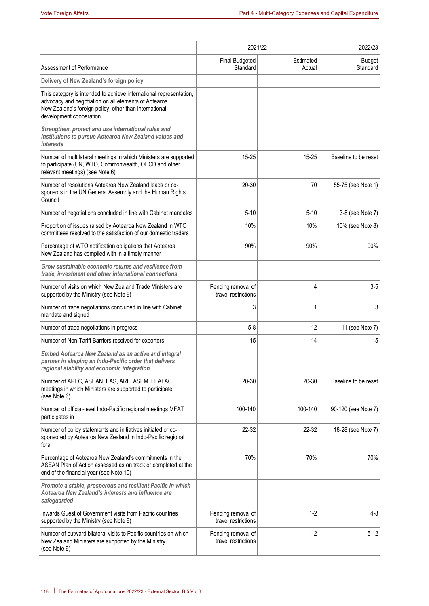|                                                                                                                                                                                                                  | 2021/22                                   |                     | 2022/23                   |
|------------------------------------------------------------------------------------------------------------------------------------------------------------------------------------------------------------------|-------------------------------------------|---------------------|---------------------------|
| Assessment of Performance                                                                                                                                                                                        | <b>Final Budgeted</b><br>Standard         | Estimated<br>Actual | <b>Budget</b><br>Standard |
| Delivery of New Zealand's foreign policy                                                                                                                                                                         |                                           |                     |                           |
| This category is intended to achieve international representation,<br>advocacy and negotiation on all elements of Aotearoa<br>New Zealand's foreign policy, other than international<br>development cooperation. |                                           |                     |                           |
| Strengthen, protect and use international rules and<br>institutions to pursue Aotearoa New Zealand values and<br><i>interests</i>                                                                                |                                           |                     |                           |
| Number of multilateral meetings in which Ministers are supported<br>to participate (UN, WTO, Commonwealth, OECD and other<br>relevant meetings) (see Note 6)                                                     | $15 - 25$                                 | $15 - 25$           | Baseline to be reset      |
| Number of resolutions Aotearoa New Zealand leads or co-<br>sponsors in the UN General Assembly and the Human Rights<br>Council                                                                                   | $20 - 30$                                 | 70                  | 55-75 (see Note 1)        |
| Number of negotiations concluded in line with Cabinet mandates                                                                                                                                                   | $5 - 10$                                  | $5 - 10$            | 3-8 (see Note 7)          |
| Proportion of issues raised by Aotearoa New Zealand in WTO<br>committees resolved to the satisfaction of our domestic traders                                                                                    | 10%                                       | 10%                 | 10% (see Note 8)          |
| Percentage of WTO notification obligations that Aotearoa<br>New Zealand has complied with in a timely manner                                                                                                     | 90%                                       | 90%                 | 90%                       |
| Grow sustainable economic returns and resilience from<br>trade, investment and other international connections                                                                                                   |                                           |                     |                           |
| Number of visits on which New Zealand Trade Ministers are<br>supported by the Ministry (see Note 9)                                                                                                              | Pending removal of<br>travel restrictions | $\overline{4}$      | $3-5$                     |
| Number of trade negotiations concluded in line with Cabinet<br>mandate and signed                                                                                                                                | 3                                         | $\mathbf{1}$        | 3                         |
| Number of trade negotiations in progress                                                                                                                                                                         | $5 - 8$                                   | 12                  | 11 (see Note 7)           |
| Number of Non-Tariff Barriers resolved for exporters                                                                                                                                                             | 15                                        | 14                  | 15                        |
| <b>Embed Aotearoa New Zealand as an active and integral</b><br>partner in shaping an Indo-Pacific order that delivers<br>regional stability and economic integration                                             |                                           |                     |                           |
| Number of APEC, ASEAN, EAS, ARF, ASEM, FEALAC<br>meetings in which Ministers are supported to participate<br>(see Note 6)                                                                                        | 20-30                                     | $20 - 30$           | Baseline to be reset      |
| Number of official-level Indo-Pacific regional meetings MFAT<br>participates in                                                                                                                                  | 100-140                                   | 100-140             | 90-120 (see Note 7)       |
| Number of policy statements and initiatives initiated or co-<br>sponsored by Aotearoa New Zealand in Indo-Pacific regional<br>fora                                                                               | 22-32                                     | 22-32               | 18-28 (see Note 7)        |
| Percentage of Aotearoa New Zealand's commitments in the<br>ASEAN Plan of Action assessed as on track or completed at the<br>end of the financial year (see Note 10)                                              | 70%                                       | 70%                 | 70%                       |
| Promote a stable, prosperous and resilient Pacific in which<br>Aotearoa New Zealand's interests and influence are<br>safeguarded                                                                                 |                                           |                     |                           |
| Inwards Guest of Government visits from Pacific countries<br>supported by the Ministry (see Note 9)                                                                                                              | Pending removal of<br>travel restrictions | $1 - 2$             | $4 - 8$                   |
| Number of outward bilateral visits to Pacific countries on which<br>New Zealand Ministers are supported by the Ministry<br>(see Note 9)                                                                          | Pending removal of<br>travel restrictions | $1 - 2$             | $5 - 12$                  |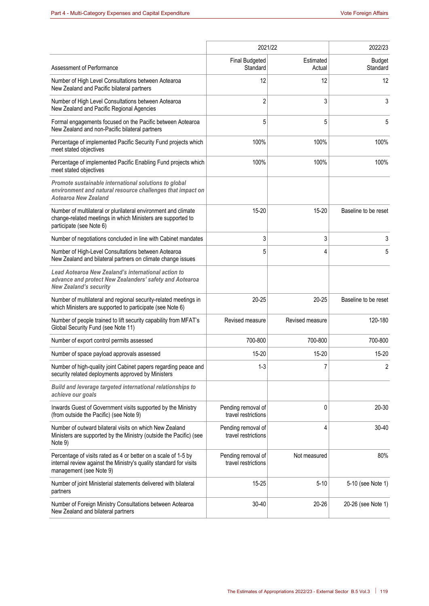|                                                                                                                                                                 | 2021/22                                   | 2022/23             |                           |
|-----------------------------------------------------------------------------------------------------------------------------------------------------------------|-------------------------------------------|---------------------|---------------------------|
| Assessment of Performance                                                                                                                                       | <b>Final Budgeted</b><br>Standard         | Estimated<br>Actual | <b>Budget</b><br>Standard |
| Number of High Level Consultations between Aotearoa<br>New Zealand and Pacific bilateral partners                                                               | 12                                        | 12                  | 12                        |
| Number of High Level Consultations between Aotearoa<br>New Zealand and Pacific Regional Agencies                                                                | 2                                         | 3                   | 3                         |
| Formal engagements focused on the Pacific between Aotearoa<br>New Zealand and non-Pacific bilateral partners                                                    | 5                                         | 5                   | 5                         |
| Percentage of implemented Pacific Security Fund projects which<br>meet stated objectives                                                                        | 100%                                      | 100%                | 100%                      |
| Percentage of implemented Pacific Enabling Fund projects which<br>meet stated objectives                                                                        | 100%                                      | 100%                | 100%                      |
| Promote sustainable international solutions to global<br>environment and natural resource challenges that impact on<br>Aotearoa New Zealand                     |                                           |                     |                           |
| Number of multilateral or plurilateral environment and climate<br>change-related meetings in which Ministers are supported to<br>participate (see Note 6)       | $15 - 20$                                 | $15 - 20$           | Baseline to be reset      |
| Number of negotiations concluded in line with Cabinet mandates                                                                                                  | 3                                         | 3                   | 3                         |
| Number of High-Level Consultations between Aotearoa<br>New Zealand and bilateral partners on climate change issues                                              | 5                                         | 4                   | 5                         |
| Lead Aotearoa New Zealand's international action to<br>advance and protect New Zealanders' safety and Aotearoa<br><b>New Zealand's security</b>                 |                                           |                     |                           |
| Number of multilateral and regional security-related meetings in<br>which Ministers are supported to participate (see Note 6)                                   | $20 - 25$                                 | $20 - 25$           | Baseline to be reset      |
| Number of people trained to lift security capability from MFAT's<br>Global Security Fund (see Note 11)                                                          | Revised measure                           | Revised measure     | 120-180                   |
| Number of export control permits assessed                                                                                                                       | 700-800                                   | 700-800             | 700-800                   |
| Number of space payload approvals assessed                                                                                                                      | $15 - 20$                                 | 15-20               | 15-20                     |
| Number of high-quality joint Cabinet papers regarding peace and<br>security related deployments approved by Ministers                                           | $1 - 3$                                   | 7                   | 2                         |
| Build and leverage targeted international relationships to<br>achieve our goals                                                                                 |                                           |                     |                           |
| Inwards Guest of Government visits supported by the Ministry<br>(from outside the Pacific) (see Note 9)                                                         | Pending removal of<br>travel restrictions | 0                   | 20-30                     |
| Number of outward bilateral visits on which New Zealand<br>Ministers are supported by the Ministry (outside the Pacific) (see<br>Note 9)                        | Pending removal of<br>travel restrictions | 4                   | $30 - 40$                 |
| Percentage of visits rated as 4 or better on a scale of 1-5 by<br>internal review against the Ministry's quality standard for visits<br>management (see Note 9) | Pending removal of<br>travel restrictions | Not measured        | 80%                       |
| Number of joint Ministerial statements delivered with bilateral<br>partners                                                                                     | $15 - 25$                                 | $5 - 10$            | 5-10 (see Note 1)         |
| Number of Foreign Ministry Consultations between Aotearoa<br>New Zealand and bilateral partners                                                                 | $30 - 40$                                 | 20-26               | 20-26 (see Note 1)        |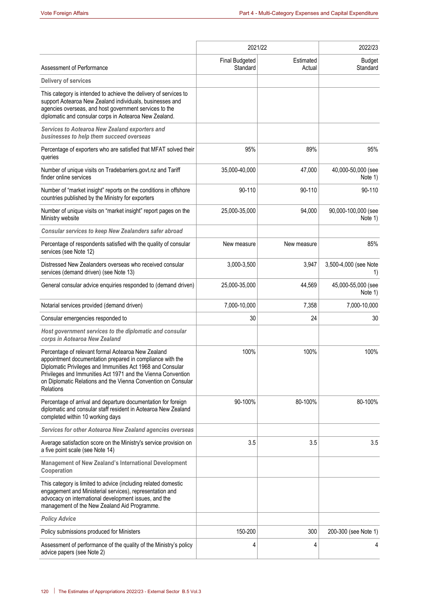|                                                                                                                                                                                                                                                                                                                             |                                   | 2021/22             | 2022/23                        |
|-----------------------------------------------------------------------------------------------------------------------------------------------------------------------------------------------------------------------------------------------------------------------------------------------------------------------------|-----------------------------------|---------------------|--------------------------------|
| Assessment of Performance                                                                                                                                                                                                                                                                                                   | <b>Final Budgeted</b><br>Standard | Estimated<br>Actual | <b>Budget</b><br>Standard      |
| Delivery of services                                                                                                                                                                                                                                                                                                        |                                   |                     |                                |
| This category is intended to achieve the delivery of services to<br>support Aotearoa New Zealand individuals, businesses and<br>agencies overseas, and host government services to the<br>diplomatic and consular corps in Aotearoa New Zealand.                                                                            |                                   |                     |                                |
| Services to Aotearoa New Zealand exporters and<br>businesses to help them succeed overseas                                                                                                                                                                                                                                  |                                   |                     |                                |
| Percentage of exporters who are satisfied that MFAT solved their<br>queries                                                                                                                                                                                                                                                 | 95%                               | 89%                 | 95%                            |
| Number of unique visits on Tradebarriers.govt.nz and Tariff<br>finder online services                                                                                                                                                                                                                                       | 35,000-40,000                     | 47,000              | 40,000-50,000 (see<br>Note 1)  |
| Number of "market insight" reports on the conditions in offshore<br>countries published by the Ministry for exporters                                                                                                                                                                                                       | 90-110                            | 90-110              | 90-110                         |
| Number of unique visits on "market insight" report pages on the<br>Ministry website                                                                                                                                                                                                                                         | 25,000-35,000                     | 94,000              | 90,000-100,000 (see<br>Note 1) |
| Consular services to keep New Zealanders safer abroad                                                                                                                                                                                                                                                                       |                                   |                     |                                |
| Percentage of respondents satisfied with the quality of consular<br>services (see Note 12)                                                                                                                                                                                                                                  | New measure                       | New measure         | 85%                            |
| Distressed New Zealanders overseas who received consular<br>services (demand driven) (see Note 13)                                                                                                                                                                                                                          | 3,000-3,500                       | 3,947               | 3,500-4,000 (see Note<br>1)    |
| General consular advice enquiries responded to (demand driven)                                                                                                                                                                                                                                                              | 25,000-35,000                     | 44,569              | 45,000-55,000 (see<br>Note 1)  |
| Notarial services provided (demand driven)                                                                                                                                                                                                                                                                                  | 7,000-10,000                      | 7,358               | 7,000-10,000                   |
| Consular emergencies responded to                                                                                                                                                                                                                                                                                           | 30                                | 24                  | 30                             |
| Host government services to the diplomatic and consular<br>corps in Aotearoa New Zealand                                                                                                                                                                                                                                    |                                   |                     |                                |
| Percentage of relevant formal Aotearoa New Zealand<br>appointment documentation prepared in compliance with the<br>Diplomatic Privileges and Immunities Act 1968 and Consular<br>Privileges and Immunities Act 1971 and the Vienna Convention<br>on Diplomatic Relations and the Vienna Convention on Consular<br>Relations | 100%                              | 100%                | 100%                           |
| Percentage of arrival and departure documentation for foreign<br>diplomatic and consular staff resident in Aotearoa New Zealand<br>completed within 10 working days                                                                                                                                                         | 90-100%                           | 80-100%             | 80-100%                        |
| Services for other Aotearoa New Zealand agencies overseas                                                                                                                                                                                                                                                                   |                                   |                     |                                |
| Average satisfaction score on the Ministry's service provision on<br>a five point scale (see Note 14)                                                                                                                                                                                                                       | 3.5                               | 3.5                 | 3.5                            |
| Management of New Zealand's International Development<br>Cooperation                                                                                                                                                                                                                                                        |                                   |                     |                                |
| This category is limited to advice (including related domestic<br>engagement and Ministerial services), representation and<br>advocacy on international development issues, and the<br>management of the New Zealand Aid Programme.                                                                                         |                                   |                     |                                |
| <b>Policy Advice</b>                                                                                                                                                                                                                                                                                                        |                                   |                     |                                |
| Policy submissions produced for Ministers                                                                                                                                                                                                                                                                                   | 150-200                           | 300                 | 200-300 (see Note 1)           |
| Assessment of performance of the quality of the Ministry's policy<br>advice papers (see Note 2)                                                                                                                                                                                                                             | 4                                 | 4                   | 4                              |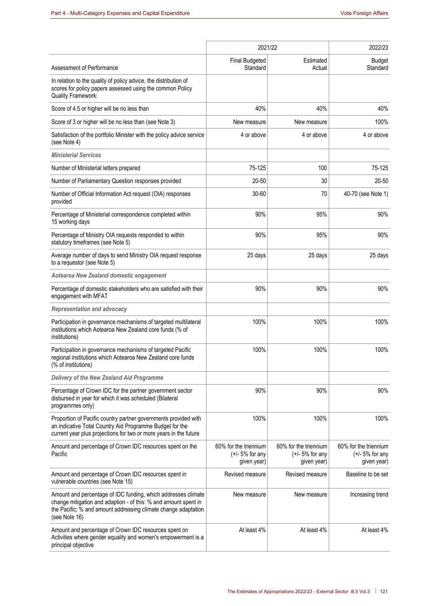|                                                                                                                                                                                                                     | 2021/22                                                   | 2022/23                                                   |                                                           |
|---------------------------------------------------------------------------------------------------------------------------------------------------------------------------------------------------------------------|-----------------------------------------------------------|-----------------------------------------------------------|-----------------------------------------------------------|
|                                                                                                                                                                                                                     | <b>Final Budgeted</b>                                     | Estimated                                                 | <b>Budget</b>                                             |
| Assessment of Performance                                                                                                                                                                                           | Standard                                                  | Actual                                                    | Standard                                                  |
| In relation to the quality of policy advice, the distribution of<br>scores for policy papers assessed using the common Policy<br><b>Quality Framework:</b>                                                          |                                                           |                                                           |                                                           |
| Score of 4.5 or higher will be no less than                                                                                                                                                                         | 40%                                                       | 40%                                                       | 40%                                                       |
| Score of 3 or higher will be no less than (see Note 3)                                                                                                                                                              | New measure                                               | New measure                                               | 100%                                                      |
| Satisfaction of the portfolio Minister with the policy advice service<br>(see Note 4)                                                                                                                               | 4 or above                                                | 4 or above                                                | 4 or above                                                |
| <b>Ministerial Services</b>                                                                                                                                                                                         |                                                           |                                                           |                                                           |
| Number of Ministerial letters prepared                                                                                                                                                                              | 75-125                                                    | 100                                                       | 75-125                                                    |
| Number of Parliamentary Question responses provided                                                                                                                                                                 | $20 - 50$                                                 | 30                                                        | $20 - 50$                                                 |
| Number of Official Information Act request (OIA) responses<br>provided                                                                                                                                              | $30 - 60$                                                 | 70                                                        | 40-70 (see Note 1)                                        |
| Percentage of Ministerial correspondence completed within<br>15 working days                                                                                                                                        | 90%                                                       | 95%                                                       | 90%                                                       |
| Percentage of Ministry OIA requests responded to within<br>statutory timeframes (see Note 5)                                                                                                                        | 90%                                                       | 95%                                                       | 90%                                                       |
| Average number of days to send Ministry OIA request response<br>to a requestor (see Note 5)                                                                                                                         | 25 days                                                   | 25 days                                                   | 25 days                                                   |
| Aotearoa New Zealand domestic engagement                                                                                                                                                                            |                                                           |                                                           |                                                           |
| Percentage of domestic stakeholders who are satisfied with their<br>engagement with MFAT                                                                                                                            | 90%                                                       | 90%                                                       | 90%                                                       |
| <b>Representation and advocacy</b>                                                                                                                                                                                  |                                                           |                                                           |                                                           |
| Participation in governance mechanisms of targeted multilateral<br>institutions which Aotearoa New Zealand core funds (% of<br>institutions)                                                                        | 100%                                                      | 100%                                                      | 100%                                                      |
| Participation in governance mechanisms of targeted Pacific<br>regional institutions which Aotearoa New Zealand core funds<br>(% of institutions)                                                                    | 100%                                                      | 100%                                                      | 100%                                                      |
| Delivery of the New Zealand Aid Programme                                                                                                                                                                           |                                                           |                                                           |                                                           |
| Percentage of Crown IDC for the partner government sector<br>disbursed in year for which it was scheduled (Bilateral<br>programmes only)                                                                            | 90%                                                       | 90%                                                       | 90%                                                       |
| Proportion of Pacific country partner governments provided with<br>an indicative Total Country Aid Programme Budget for the<br>current year plus projections for two or more years in the future                    | 100%                                                      | 100%                                                      | 100%                                                      |
| Amount and percentage of Crown IDC resources spent on the<br>Pacific                                                                                                                                                | 60% for the triennium<br>$(+/- 5%$ for any<br>given year) | 60% for the triennium<br>$(+/- 5%$ for any<br>given year) | 60% for the triennium<br>$(+/- 5%$ for any<br>given year) |
| Amount and percentage of Crown IDC resources spent in<br>vulnerable countries (see Note 15)                                                                                                                         | Revised measure                                           | Revised measure                                           | Baseline to be set                                        |
| Amount and percentage of IDC funding, which addresses climate<br>change mitigation and adaption - of this: % and amount spent in<br>the Pacific; % and amount addressing climate change adaptation<br>(see Note 16) | New measure                                               | New measure                                               | Increasing trend                                          |
| Amount and percentage of Crown IDC resources spent on<br>Activities where gender equality and women's empowerment is a<br>principal objective                                                                       | At least 4%                                               | At least 4%                                               | At least 4%                                               |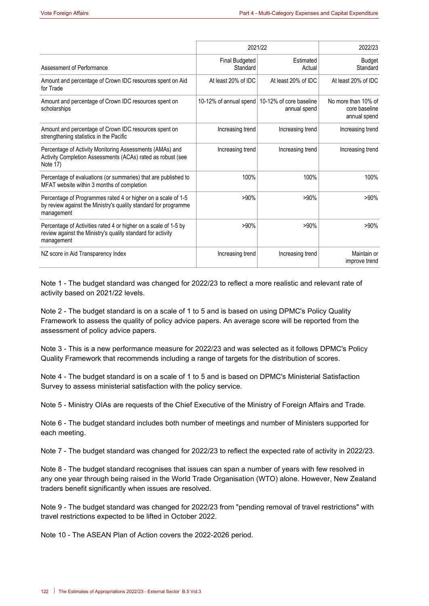|                                                                                                                                               | 2021/22                    | 2022/23                                 |                                                      |
|-----------------------------------------------------------------------------------------------------------------------------------------------|----------------------------|-----------------------------------------|------------------------------------------------------|
| Assessment of Performance                                                                                                                     | Final Budgeted<br>Standard | <b>Fstimated</b><br>Actual              | <b>Budget</b><br>Standard                            |
| Amount and percentage of Crown IDC resources spent on Aid<br>for Trade                                                                        | At least 20% of IDC        | At least 20% of IDC                     | At least 20% of IDC                                  |
| Amount and percentage of Crown IDC resources spent on<br>scholarships                                                                         | 10-12% of annual spend     | 10-12% of core baseline<br>annual spend | No more than 10% of<br>core baseline<br>annual spend |
| Amount and percentage of Crown IDC resources spent on<br>strengthening statistics in the Pacific                                              | Increasing trend           | Increasing trend                        | Increasing trend                                     |
| Percentage of Activity Monitoring Assessments (AMAs) and<br>Activity Completion Assessments (ACAs) rated as robust (see<br>Note 17)           | Increasing trend           | Increasing trend                        | Increasing trend                                     |
| Percentage of evaluations (or summaries) that are published to<br>MFAT website within 3 months of completion                                  | 100%                       | 100%                                    | 100%                                                 |
| Percentage of Programmes rated 4 or higher on a scale of 1-5<br>by review against the Ministry's quality standard for programme<br>management | $>90\%$                    | $>90\%$                                 | $>90\%$                                              |
| Percentage of Activities rated 4 or higher on a scale of 1-5 by<br>review against the Ministry's quality standard for activity<br>management  | $>90\%$                    | $>90\%$                                 | $>90\%$                                              |
| NZ score in Aid Transparency Index                                                                                                            | Increasing trend           | Increasing trend                        | Maintain or<br>improve trend                         |

Note 1 - The budget standard was changed for 2022/23 to reflect a more realistic and relevant rate of activity based on 2021/22 levels.

Note 2 - The budget standard is on a scale of 1 to 5 and is based on using DPMC's Policy Quality Framework to assess the quality of policy advice papers. An average score will be reported from the assessment of policy advice papers.

Note 3 - This is a new performance measure for 2022/23 and was selected as it follows DPMC's Policy Quality Framework that recommends including a range of targets for the distribution of scores.

Note 4 - The budget standard is on a scale of 1 to 5 and is based on DPMC's Ministerial Satisfaction Survey to assess ministerial satisfaction with the policy service.

Note 5 - Ministry OIAs are requests of the Chief Executive of the Ministry of Foreign Affairs and Trade.

Note 6 - The budget standard includes both number of meetings and number of Ministers supported for each meeting.

Note 7 - The budget standard was changed for 2022/23 to reflect the expected rate of activity in 2022/23.

Note 8 - The budget standard recognises that issues can span a number of years with few resolved in any one year through being raised in the World Trade Organisation (WTO) alone. However, New Zealand traders benefit significantly when issues are resolved.

Note 9 - The budget standard was changed for 2022/23 from "pending removal of travel restrictions" with travel restrictions expected to be lifted in October 2022.

Note 10 - The ASEAN Plan of Action covers the 2022-2026 period.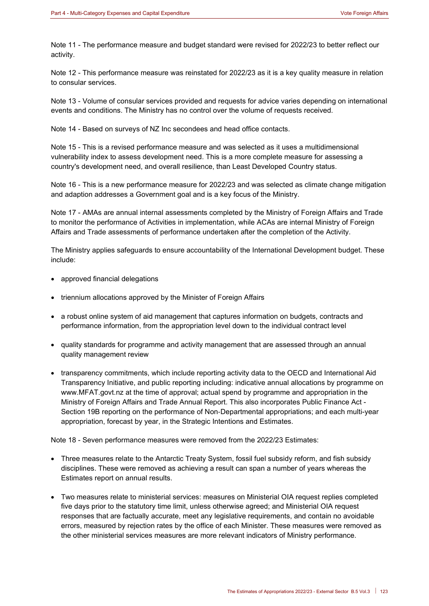Note 11 - The performance measure and budget standard were revised for 2022/23 to better reflect our activity.

Note 12 - This performance measure was reinstated for 2022/23 as it is a key quality measure in relation to consular services.

Note 13 - Volume of consular services provided and requests for advice varies depending on international events and conditions. The Ministry has no control over the volume of requests received.

Note 14 - Based on surveys of NZ Inc secondees and head office contacts.

Note 15 - This is a revised performance measure and was selected as it uses a multidimensional vulnerability index to assess development need. This is a more complete measure for assessing a country's development need, and overall resilience, than Least Developed Country status.

Note 16 - This is a new performance measure for 2022/23 and was selected as climate change mitigation and adaption addresses a Government goal and is a key focus of the Ministry.

Note 17 - AMAs are annual internal assessments completed by the Ministry of Foreign Affairs and Trade to monitor the performance of Activities in implementation, while ACAs are internal Ministry of Foreign Affairs and Trade assessments of performance undertaken after the completion of the Activity.

The Ministry applies safeguards to ensure accountability of the International Development budget. These include:

- approved financial delegations
- triennium allocations approved by the Minister of Foreign Affairs
- a robust online system of aid management that captures information on budgets, contracts and performance information, from the appropriation level down to the individual contract level
- quality standards for programme and activity management that are assessed through an annual quality management review
- transparency commitments, which include reporting activity data to the OECD and International Aid Transparency Initiative, and public reporting including: indicative annual allocations by programme on www.MFAT.govt.nz at the time of approval; actual spend by programme and appropriation in the Ministry of Foreign Affairs and Trade Annual Report. This also incorporates Public Finance Act - Section 19B reporting on the performance of Non-Departmental appropriations; and each multi-year appropriation, forecast by year, in the Strategic Intentions and Estimates.

Note 18 - Seven performance measures were removed from the 2022/23 Estimates:

- Three measures relate to the Antarctic Treaty System, fossil fuel subsidy reform, and fish subsidy disciplines. These were removed as achieving a result can span a number of years whereas the Estimates report on annual results.
- Two measures relate to ministerial services: measures on Ministerial OIA request replies completed five days prior to the statutory time limit, unless otherwise agreed; and Ministerial OIA request responses that are factually accurate, meet any legislative requirements, and contain no avoidable errors, measured by rejection rates by the office of each Minister. These measures were removed as the other ministerial services measures are more relevant indicators of Ministry performance.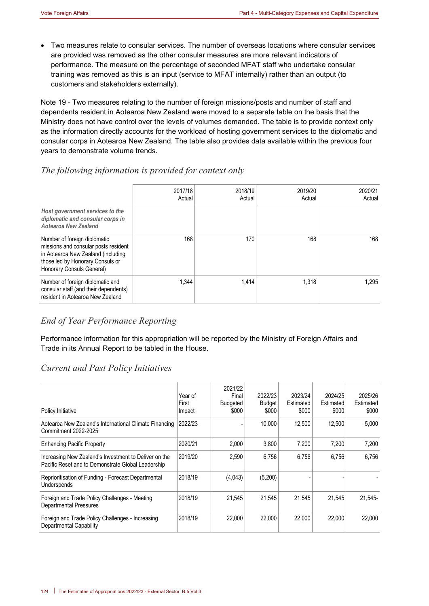• Two measures relate to consular services. The number of overseas locations where consular services are provided was removed as the other consular measures are more relevant indicators of performance. The measure on the percentage of seconded MFAT staff who undertake consular training was removed as this is an input (service to MFAT internally) rather than an output (to customers and stakeholders externally).

Note 19 - Two measures relating to the number of foreign missions/posts and number of staff and dependents resident in Aotearoa New Zealand were moved to a separate table on the basis that the Ministry does not have control over the levels of volumes demanded. The table is to provide context only as the information directly accounts for the workload of hosting government services to the diplomatic and consular corps in Aotearoa New Zealand. The table also provides data available within the previous four years to demonstrate volume trends.

# *The following information is provided for context only*

|                                                                                                                                                                             | 2017/18<br>Actual | 2018/19<br>Actual | 2019/20<br>Actual | 2020/21<br>Actual |
|-----------------------------------------------------------------------------------------------------------------------------------------------------------------------------|-------------------|-------------------|-------------------|-------------------|
| Host government services to the<br>diplomatic and consular corps in<br>Aotearoa New Zealand                                                                                 |                   |                   |                   |                   |
| Number of foreign diplomatic<br>missions and consular posts resident<br>in Aotearoa New Zealand (including<br>those led by Honorary Consuls or<br>Honorary Consuls General) | 168               | 170               | 168               | 168               |
| Number of foreign diplomatic and<br>consular staff (and their dependents)<br>resident in Aotearoa New Zealand                                                               | 1.344             | 1.414             | 1.318             | 1.295             |

# *End of Year Performance Reporting*

Performance information for this appropriation will be reported by the Ministry of Foreign Affairs and Trade in its Annual Report to be tabled in the House.

# *Current and Past Policy Initiatives*

| Policy Initiative                                                                                           | Year of<br>First<br>Impact | 2021/22<br>Final<br>Budgeted<br>\$000 | 2022/23<br>Budget<br>\$000 | 2023/24<br>Estimated<br>\$000 | 2024/25<br>Estimated<br>\$000 | 2025/26<br>Estimated<br>\$000 |
|-------------------------------------------------------------------------------------------------------------|----------------------------|---------------------------------------|----------------------------|-------------------------------|-------------------------------|-------------------------------|
| Aotearoa New Zealand's International Climate Financing<br>Commitment 2022-2025                              | 2022/23                    |                                       | 10,000                     | 12.500                        | 12,500                        | 5,000                         |
| <b>Enhancing Pacific Property</b>                                                                           | 2020/21                    | 2,000                                 | 3.800                      | 7.200                         | 7.200                         | 7.200                         |
| Increasing New Zealand's Investment to Deliver on the<br>Pacific Reset and to Demonstrate Global Leadership | 2019/20                    | 2,590                                 | 6.756                      | 6,756                         | 6.756                         | 6,756                         |
| Reprioritisation of Funding - Forecast Departmental<br>Underspends                                          | 2018/19                    | (4,043)                               | (5,200)                    |                               |                               |                               |
| Foreign and Trade Policy Challenges - Meeting<br><b>Departmental Pressures</b>                              | 2018/19                    | 21,545                                | 21,545                     | 21.545                        | 21,545                        | 21.545-                       |
| Foreign and Trade Policy Challenges - Increasing<br><b>Departmental Capability</b>                          | 2018/19                    | 22,000                                | 22,000                     | 22,000                        | 22,000                        | 22.000                        |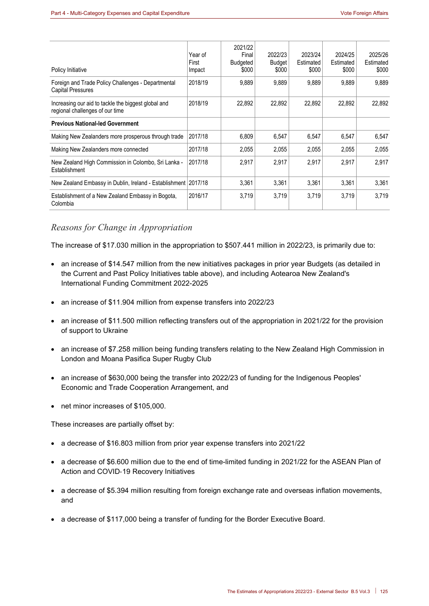| Policy Initiative                                                                      | Year of<br>First<br>Impact | 2021/22<br>Final<br><b>Budgeted</b><br>\$000 | 2022/23<br><b>Budget</b><br>\$000 | 2023/24<br>Estimated<br>\$000 | 2024/25<br>Estimated<br>\$000 | 2025/26<br>Estimated<br>\$000 |
|----------------------------------------------------------------------------------------|----------------------------|----------------------------------------------|-----------------------------------|-------------------------------|-------------------------------|-------------------------------|
| Foreign and Trade Policy Challenges - Departmental<br><b>Capital Pressures</b>         | 2018/19                    | 9,889                                        | 9,889                             | 9,889                         | 9,889                         | 9,889                         |
| Increasing our aid to tackle the biggest global and<br>regional challenges of our time | 2018/19                    | 22.892                                       | 22.892                            | 22.892                        | 22.892                        | 22.892                        |
| <b>Previous National-led Government</b>                                                |                            |                                              |                                   |                               |                               |                               |
| Making New Zealanders more prosperous through trade                                    | 2017/18                    | 6,809                                        | 6,547                             | 6,547                         | 6,547                         | 6,547                         |
| Making New Zealanders more connected                                                   | 2017/18                    | 2,055                                        | 2,055                             | 2.055                         | 2,055                         | 2,055                         |
| New Zealand High Commission in Colombo, Sri Lanka -<br>Establishment                   | 2017/18                    | 2,917                                        | 2.917                             | 2,917                         | 2.917                         | 2.917                         |
| New Zealand Embassy in Dublin, Ireland - Establishment                                 | 2017/18                    | 3,361                                        | 3,361                             | 3,361                         | 3,361                         | 3,361                         |
| Establishment of a New Zealand Embassy in Bogota,<br>Colombia                          | 2016/17                    | 3,719                                        | 3.719                             | 3.719                         | 3.719                         | 3.719                         |

#### *Reasons for Change in Appropriation*

The increase of \$17.030 million in the appropriation to \$507.441 million in 2022/23, is primarily due to:

- an increase of \$14.547 million from the new initiatives packages in prior year Budgets (as detailed in the Current and Past Policy Initiatives table above), and including Aotearoa New Zealand's International Funding Commitment 2022-2025
- an increase of \$11.904 million from expense transfers into 2022/23
- an increase of \$11.500 million reflecting transfers out of the appropriation in 2021/22 for the provision of support to Ukraine
- an increase of \$7.258 million being funding transfers relating to the New Zealand High Commission in London and Moana Pasifica Super Rugby Club
- an increase of \$630,000 being the transfer into 2022/23 of funding for the Indigenous Peoples' Economic and Trade Cooperation Arrangement, and
- net minor increases of \$105,000.

These increases are partially offset by:

- a decrease of \$16.803 million from prior year expense transfers into 2021/22
- a decrease of \$6.600 million due to the end of time-limited funding in 2021/22 for the ASEAN Plan of Action and COVID‑19 Recovery Initiatives
- a decrease of \$5.394 million resulting from foreign exchange rate and overseas inflation movements, and
- a decrease of \$117,000 being a transfer of funding for the Border Executive Board.